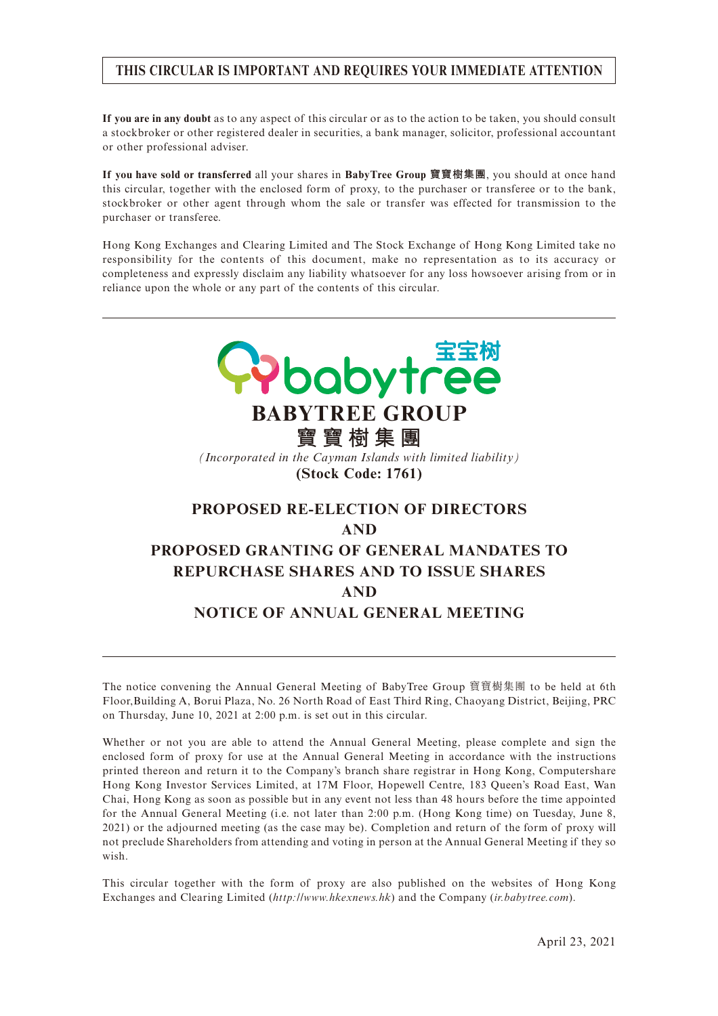#### **THIS CIRCULAR IS IMPORTANT AND REQUIRES YOUR IMMEDIATE ATTENTION**

**If you are in any doubt** as to any aspect of this circular or as to the action to be taken, you should consult a stockbroker or other registered dealer in securities, a bank manager, solicitor, professional accountant or other professional adviser.

**If you have sold or transferred** all your shares in **BabyTree Group 寶寶樹集團**, you should at once hand this circular, together with the enclosed form of proxy, to the purchaser or transferee or to the bank, stockbroker or other agent through whom the sale or transfer was effected for transmission to the purchaser or transferee.

Hong Kong Exchanges and Clearing Limited and The Stock Exchange of Hong Kong Limited take no responsibility for the contents of this document, make no representation as to its accuracy or completeness and expressly disclaim any liability whatsoever for any loss howsoever arising from or in reliance upon the whole or any part of the contents of this circular.



The notice convening the Annual General Meeting of BabyTree Group 寶寶樹集團 to be held at 6th Floor,Building A, Borui Plaza, No. 26 North Road of East Third Ring, Chaoyang District, Beijing, PRC on Thursday, June 10, 2021 at 2:00 p.m. is set out in this circular.

Whether or not you are able to attend the Annual General Meeting, please complete and sign the enclosed form of proxy for use at the Annual General Meeting in accordance with the instructions printed thereon and return it to the Company's branch share registrar in Hong Kong, Computershare Hong Kong Investor Services Limited, at 17M Floor, Hopewell Centre, 183 Queen's Road East, Wan Chai, Hong Kong as soon as possible but in any event not less than 48 hours before the time appointed for the Annual General Meeting (i.e. not later than 2:00 p.m. (Hong Kong time) on Tuesday, June 8, 2021) or the adjourned meeting (as the case may be). Completion and return of the form of proxy will not preclude Shareholders from attending and voting in person at the Annual General Meeting if they so wish.

This circular together with the form of proxy are also published on the websites of Hong Kong Exchanges and Clearing Limited (*http://www.hkexnews.hk*) and the Company (*ir.babytree.com*).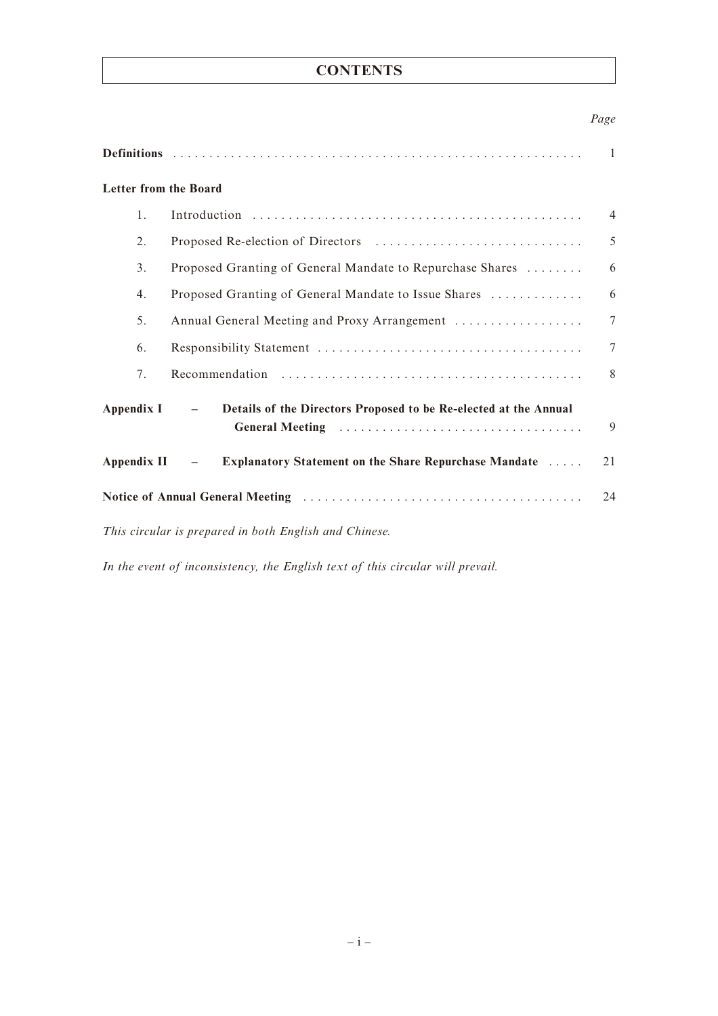# **CONTENTS**

#### *Page*

|                                                                                                                                            |                                                                                   | 1              |  |  |
|--------------------------------------------------------------------------------------------------------------------------------------------|-----------------------------------------------------------------------------------|----------------|--|--|
| <b>Letter from the Board</b>                                                                                                               |                                                                                   |                |  |  |
| 1.                                                                                                                                         |                                                                                   | $\overline{4}$ |  |  |
| 2.                                                                                                                                         |                                                                                   | 5              |  |  |
| 3.                                                                                                                                         | Proposed Granting of General Mandate to Repurchase Shares                         | 6              |  |  |
| 4.                                                                                                                                         | Proposed Granting of General Mandate to Issue Shares                              | 6              |  |  |
| 5.                                                                                                                                         | Annual General Meeting and Proxy Arrangement                                      | $\overline{7}$ |  |  |
| 6.                                                                                                                                         |                                                                                   | $\overline{7}$ |  |  |
| 7.                                                                                                                                         |                                                                                   | 8              |  |  |
| <b>Appendix I</b>                                                                                                                          | Details of the Directors Proposed to be Re-elected at the Annual<br>$-$           | 9              |  |  |
| Appendix II                                                                                                                                | Explanatory Statement on the Share Repurchase Mandate<br>$\overline{\phantom{m}}$ | 21             |  |  |
| Notice of Annual General Meeting (and all contains and all contained a set of Annual General Meeting (a) and a set of the set of $A$<br>24 |                                                                                   |                |  |  |
| This circular is prepared in both English and Chinese.                                                                                     |                                                                                   |                |  |  |

*In the event of inconsistency, the English text of this circular will prevail.*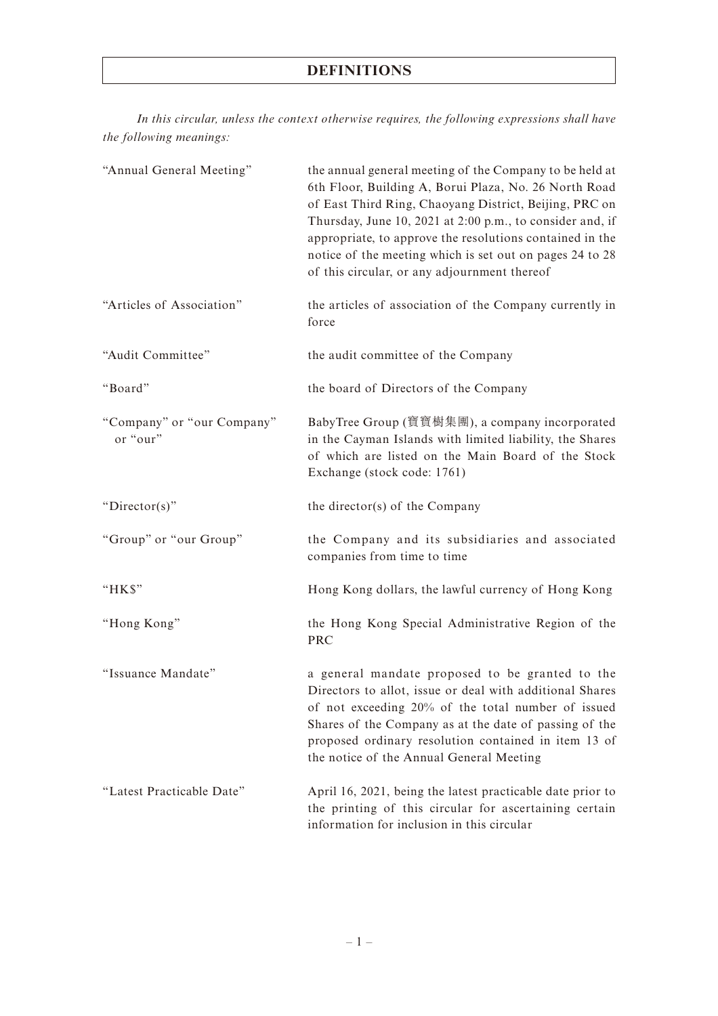# **DEFINITIONS**

*In this circular, unless the context otherwise requires, the following expressions shall have the following meanings:*

| "Annual General Meeting"               | the annual general meeting of the Company to be held at<br>6th Floor, Building A, Borui Plaza, No. 26 North Road<br>of East Third Ring, Chaoyang District, Beijing, PRC on<br>Thursday, June 10, 2021 at 2:00 p.m., to consider and, if<br>appropriate, to approve the resolutions contained in the<br>notice of the meeting which is set out on pages 24 to 28<br>of this circular, or any adjournment thereof |
|----------------------------------------|-----------------------------------------------------------------------------------------------------------------------------------------------------------------------------------------------------------------------------------------------------------------------------------------------------------------------------------------------------------------------------------------------------------------|
| "Articles of Association"              | the articles of association of the Company currently in<br>force                                                                                                                                                                                                                                                                                                                                                |
| "Audit Committee"                      | the audit committee of the Company                                                                                                                                                                                                                                                                                                                                                                              |
| "Board"                                | the board of Directors of the Company                                                                                                                                                                                                                                                                                                                                                                           |
| "Company" or "our Company"<br>or "our" | BabyTree Group (寶寶樹集團), a company incorporated<br>in the Cayman Islands with limited liability, the Shares<br>of which are listed on the Main Board of the Stock<br>Exchange (stock code: 1761)                                                                                                                                                                                                                 |
| " $Director(s)$ "                      | the director(s) of the Company                                                                                                                                                                                                                                                                                                                                                                                  |
| "Group" or "our Group"                 | the Company and its subsidiaries and associated<br>companies from time to time                                                                                                                                                                                                                                                                                                                                  |
| "HK\$"                                 | Hong Kong dollars, the lawful currency of Hong Kong                                                                                                                                                                                                                                                                                                                                                             |
| "Hong Kong"                            | the Hong Kong Special Administrative Region of the<br><b>PRC</b>                                                                                                                                                                                                                                                                                                                                                |
| "Issuance Mandate"                     | a general mandate proposed to be granted to the<br>Directors to allot, issue or deal with additional Shares<br>of not exceeding 20% of the total number of issued<br>Shares of the Company as at the date of passing of the<br>proposed ordinary resolution contained in item 13 of<br>the notice of the Annual General Meeting                                                                                 |
| "Latest Practicable Date"              | April 16, 2021, being the latest practicable date prior to<br>the printing of this circular for ascertaining certain<br>information for inclusion in this circular                                                                                                                                                                                                                                              |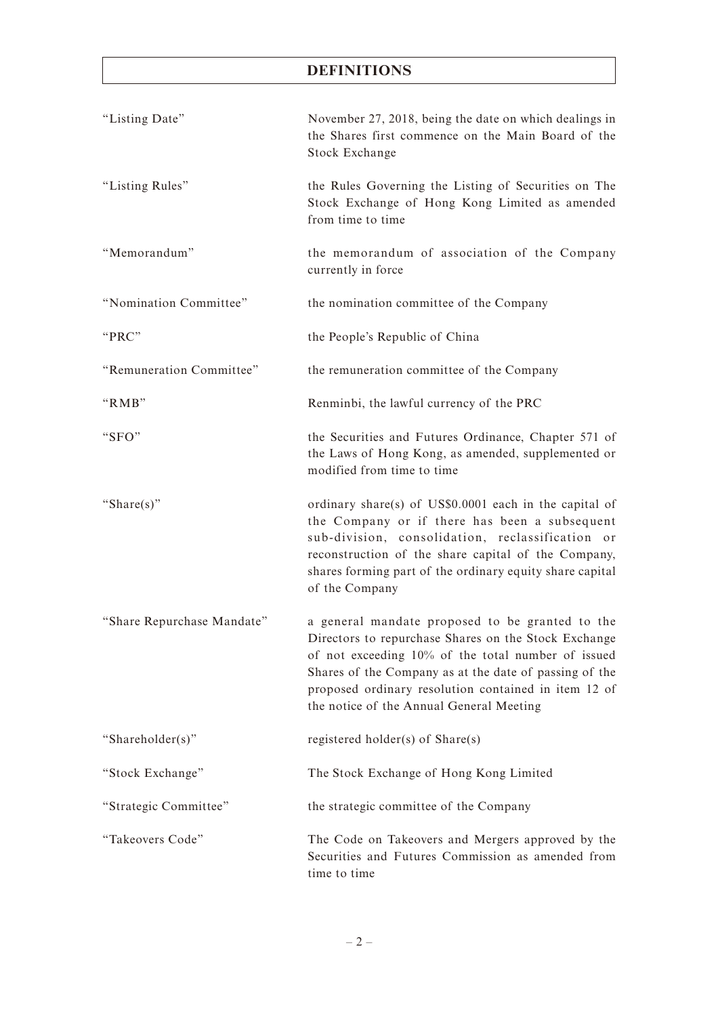# **DEFINITIONS**

| "Listing Date"             | November 27, 2018, being the date on which dealings in<br>the Shares first commence on the Main Board of the<br>Stock Exchange                                                                                                                                                                                              |
|----------------------------|-----------------------------------------------------------------------------------------------------------------------------------------------------------------------------------------------------------------------------------------------------------------------------------------------------------------------------|
| "Listing Rules"            | the Rules Governing the Listing of Securities on The<br>Stock Exchange of Hong Kong Limited as amended<br>from time to time                                                                                                                                                                                                 |
| "Memorandum"               | the memorandum of association of the Company<br>currently in force                                                                                                                                                                                                                                                          |
| "Nomination Committee"     | the nomination committee of the Company                                                                                                                                                                                                                                                                                     |
| "PRC"                      | the People's Republic of China                                                                                                                                                                                                                                                                                              |
| "Remuneration Committee"   | the remuneration committee of the Company                                                                                                                                                                                                                                                                                   |
| "RMB"                      | Renminbi, the lawful currency of the PRC                                                                                                                                                                                                                                                                                    |
| "SFO"                      | the Securities and Futures Ordinance, Chapter 571 of<br>the Laws of Hong Kong, as amended, supplemented or<br>modified from time to time                                                                                                                                                                                    |
| "Share(s)"                 | ordinary share(s) of US\$0.0001 each in the capital of<br>the Company or if there has been a subsequent<br>sub-division, consolidation, reclassification or<br>reconstruction of the share capital of the Company,<br>shares forming part of the ordinary equity share capital<br>of the Company                            |
| "Share Repurchase Mandate" | a general mandate proposed to be granted to the<br>Directors to repurchase Shares on the Stock Exchange<br>of not exceeding 10% of the total number of issued<br>Shares of the Company as at the date of passing of the<br>proposed ordinary resolution contained in item 12 of<br>the notice of the Annual General Meeting |
| "Shareholder(s)"           | registered holder(s) of Share(s)                                                                                                                                                                                                                                                                                            |
| "Stock Exchange"           | The Stock Exchange of Hong Kong Limited                                                                                                                                                                                                                                                                                     |
| "Strategic Committee"      | the strategic committee of the Company                                                                                                                                                                                                                                                                                      |
| "Takeovers Code"           | The Code on Takeovers and Mergers approved by the<br>Securities and Futures Commission as amended from<br>time to time                                                                                                                                                                                                      |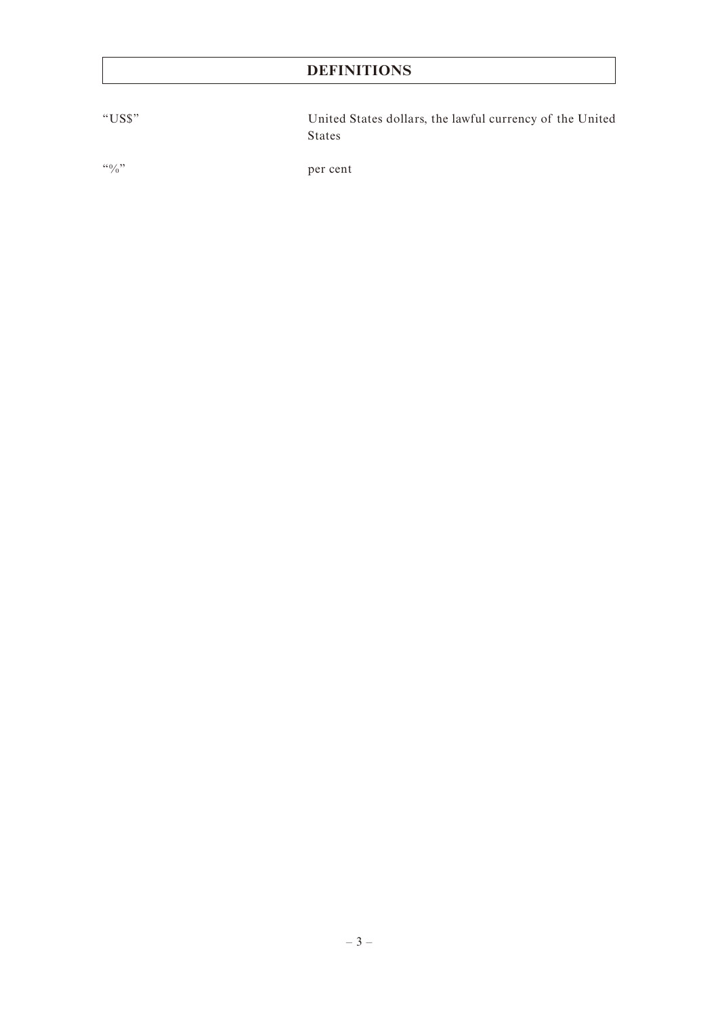# **DEFINITIONS**

"US\$" United States dollars, the lawful currency of the United States

"%" per cent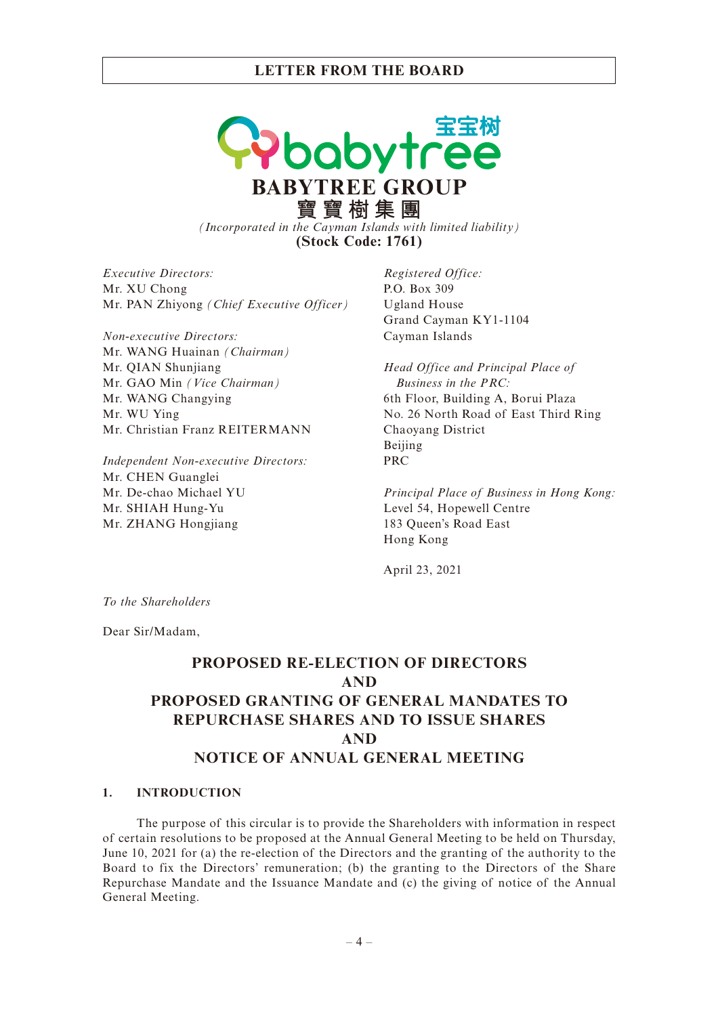pabytre **BABYTREE GROUP 寶寶樹集團** *(Incorporated in the Cayman Islands with limited liability)* **(Stock Code: 1761)**

*Executive Directors:* Mr. XU Chong Mr. PAN Zhiyong *(Chief Executive Officer)*

*Non-executive Directors:* Mr. WANG Huainan *(Chairman)* Mr. QIAN Shunjiang Mr. GAO Min *(Vice Chairman)* Mr. WANG Changying Mr. WU Ying Mr. Christian Franz REITERMANN

*Independent Non-executive Directors:* Mr. CHEN Guanglei Mr. De-chao Michael YU Mr. SHIAH Hung-Yu Mr. ZHANG Hongjiang

*Registered Office:* P.O. Box 309 Ugland House Grand Cayman KY1-1104 Cayman Islands

*Head Office and Principal Place of Business in the PRC:* 6th Floor, Building A, Borui Plaza No. 26 North Road of East Third Ring Chaoyang District Beijing PRC

*Principal Place of Business in Hong Kong:* Level 54, Hopewell Centre 183 Queen's Road East Hong Kong

April 23, 2021

*To the Shareholders*

Dear Sir/Madam,

# **PROPOSED RE-ELECTION OF DIRECTORS AND PROPOSED GRANTING OF GENERAL MANDATES TO REPURCHASE SHARES AND TO ISSUE SHARES AND NOTICE OF ANNUAL GENERAL MEETING**

#### **1. INTRODUCTION**

The purpose of this circular is to provide the Shareholders with information in respect of certain resolutions to be proposed at the Annual General Meeting to be held on Thursday, June 10, 2021 for (a) the re-election of the Directors and the granting of the authority to the Board to fix the Directors' remuneration; (b) the granting to the Directors of the Share Repurchase Mandate and the Issuance Mandate and (c) the giving of notice of the Annual General Meeting.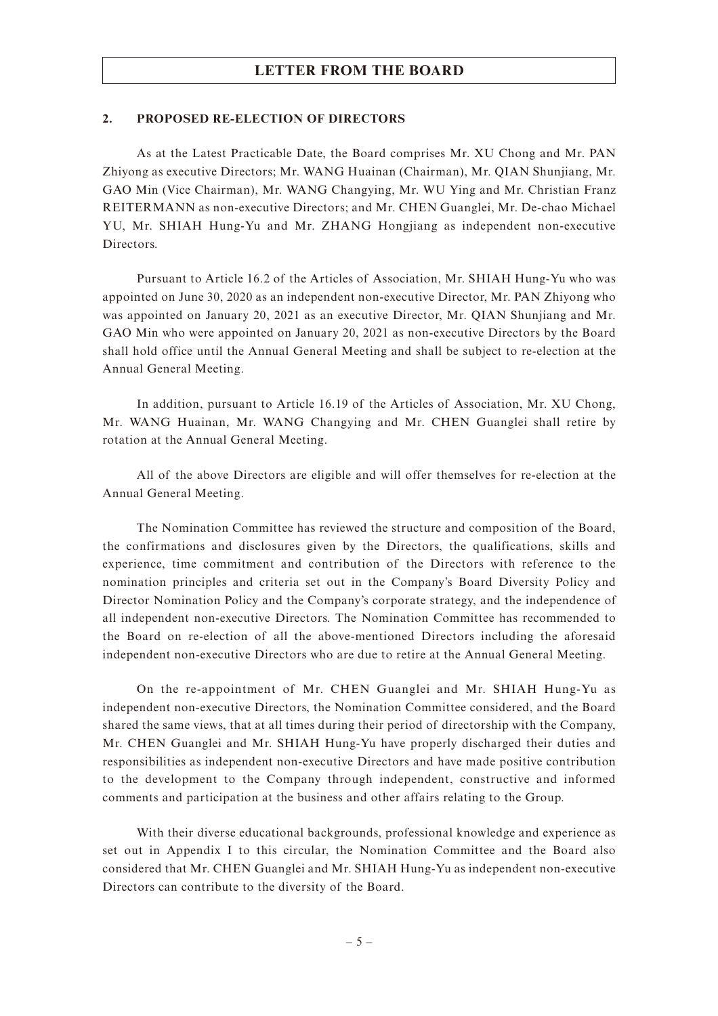#### **2. PROPOSED RE-ELECTION OF DIRECTORS**

As at the Latest Practicable Date, the Board comprises Mr. XU Chong and Mr. PAN Zhiyong as executive Directors; Mr. WANG Huainan (Chairman), Mr. QIAN Shunjiang, Mr. GAO Min (Vice Chairman), Mr. WANG Changying, Mr. WU Ying and Mr. Christian Franz REITERMANN as non-executive Directors; and Mr. CHEN Guanglei, Mr. De-chao Michael YU, Mr. SHIAH Hung-Yu and Mr. ZHANG Hongjiang as independent non-executive Directors.

Pursuant to Article 16.2 of the Articles of Association, Mr. SHIAH Hung-Yu who was appointed on June 30, 2020 as an independent non-executive Director, Mr. PAN Zhiyong who was appointed on January 20, 2021 as an executive Director, Mr. QIAN Shunjiang and Mr. GAO Min who were appointed on January 20, 2021 as non-executive Directors by the Board shall hold office until the Annual General Meeting and shall be subject to re-election at the Annual General Meeting.

In addition, pursuant to Article 16.19 of the Articles of Association, Mr. XU Chong, Mr. WANG Huainan, Mr. WANG Changying and Mr. CHEN Guanglei shall retire by rotation at the Annual General Meeting.

All of the above Directors are eligible and will offer themselves for re-election at the Annual General Meeting.

The Nomination Committee has reviewed the structure and composition of the Board, the confirmations and disclosures given by the Directors, the qualifications, skills and experience, time commitment and contribution of the Directors with reference to the nomination principles and criteria set out in the Company's Board Diversity Policy and Director Nomination Policy and the Company's corporate strategy, and the independence of all independent non-executive Directors. The Nomination Committee has recommended to the Board on re-election of all the above-mentioned Directors including the aforesaid independent non-executive Directors who are due to retire at the Annual General Meeting.

On the re-appointment of Mr. CHEN Guanglei and Mr. SHIAH Hung-Yu as independent non-executive Directors, the Nomination Committee considered, and the Board shared the same views, that at all times during their period of directorship with the Company, Mr. CHEN Guanglei and Mr. SHIAH Hung-Yu have properly discharged their duties and responsibilities as independent non-executive Directors and have made positive contribution to the development to the Company through independent, constructive and informed comments and participation at the business and other affairs relating to the Group.

With their diverse educational backgrounds, professional knowledge and experience as set out in Appendix I to this circular, the Nomination Committee and the Board also considered that Mr. CHEN Guanglei and Mr. SHIAH Hung-Yu as independent non-executive Directors can contribute to the diversity of the Board.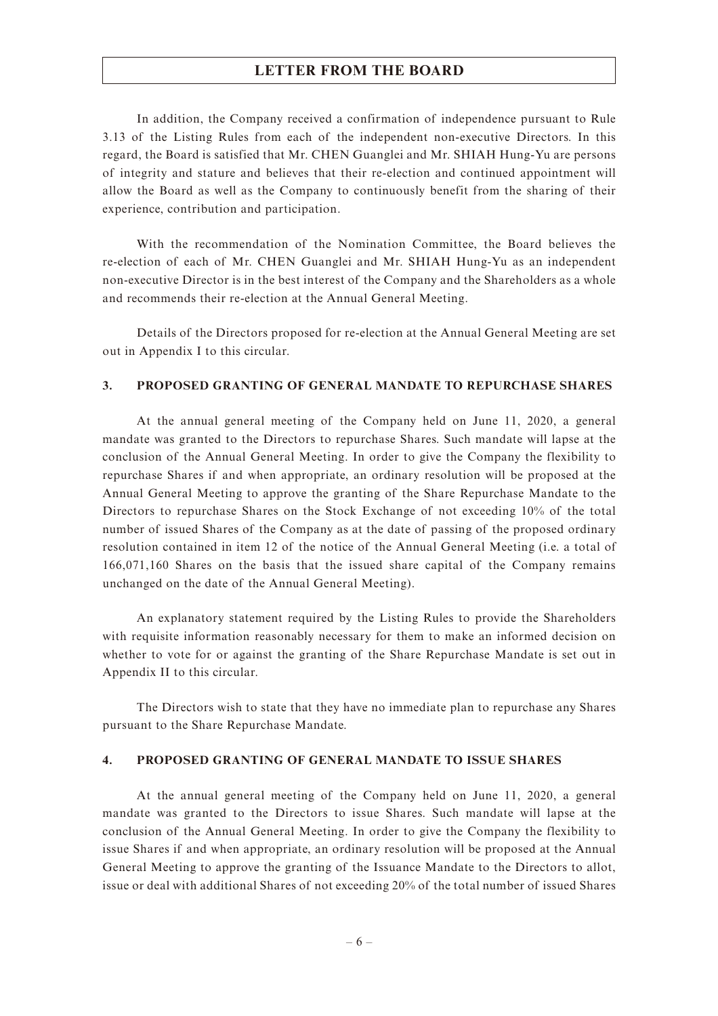In addition, the Company received a confirmation of independence pursuant to Rule 3.13 of the Listing Rules from each of the independent non-executive Directors. In this regard, the Board is satisfied that Mr. CHEN Guanglei and Mr. SHIAH Hung-Yu are persons of integrity and stature and believes that their re-election and continued appointment will allow the Board as well as the Company to continuously benefit from the sharing of their experience, contribution and participation.

With the recommendation of the Nomination Committee, the Board believes the re-election of each of Mr. CHEN Guanglei and Mr. SHIAH Hung-Yu as an independent non-executive Director is in the best interest of the Company and the Shareholders as a whole and recommends their re-election at the Annual General Meeting.

Details of the Directors proposed for re-election at the Annual General Meeting are set out in Appendix I to this circular.

#### **3. PROPOSED GRANTING OF GENERAL MANDATE TO REPURCHASE SHARES**

At the annual general meeting of the Company held on June 11, 2020, a general mandate was granted to the Directors to repurchase Shares. Such mandate will lapse at the conclusion of the Annual General Meeting. In order to give the Company the flexibility to repurchase Shares if and when appropriate, an ordinary resolution will be proposed at the Annual General Meeting to approve the granting of the Share Repurchase Mandate to the Directors to repurchase Shares on the Stock Exchange of not exceeding 10% of the total number of issued Shares of the Company as at the date of passing of the proposed ordinary resolution contained in item 12 of the notice of the Annual General Meeting (i.e. a total of 166,071,160 Shares on the basis that the issued share capital of the Company remains unchanged on the date of the Annual General Meeting).

An explanatory statement required by the Listing Rules to provide the Shareholders with requisite information reasonably necessary for them to make an informed decision on whether to vote for or against the granting of the Share Repurchase Mandate is set out in Appendix II to this circular.

The Directors wish to state that they have no immediate plan to repurchase any Shares pursuant to the Share Repurchase Mandate.

#### **4. PROPOSED GRANTING OF GENERAL MANDATE TO ISSUE SHARES**

At the annual general meeting of the Company held on June 11, 2020, a general mandate was granted to the Directors to issue Shares. Such mandate will lapse at the conclusion of the Annual General Meeting. In order to give the Company the flexibility to issue Shares if and when appropriate, an ordinary resolution will be proposed at the Annual General Meeting to approve the granting of the Issuance Mandate to the Directors to allot, issue or deal with additional Shares of not exceeding 20% of the total number of issued Shares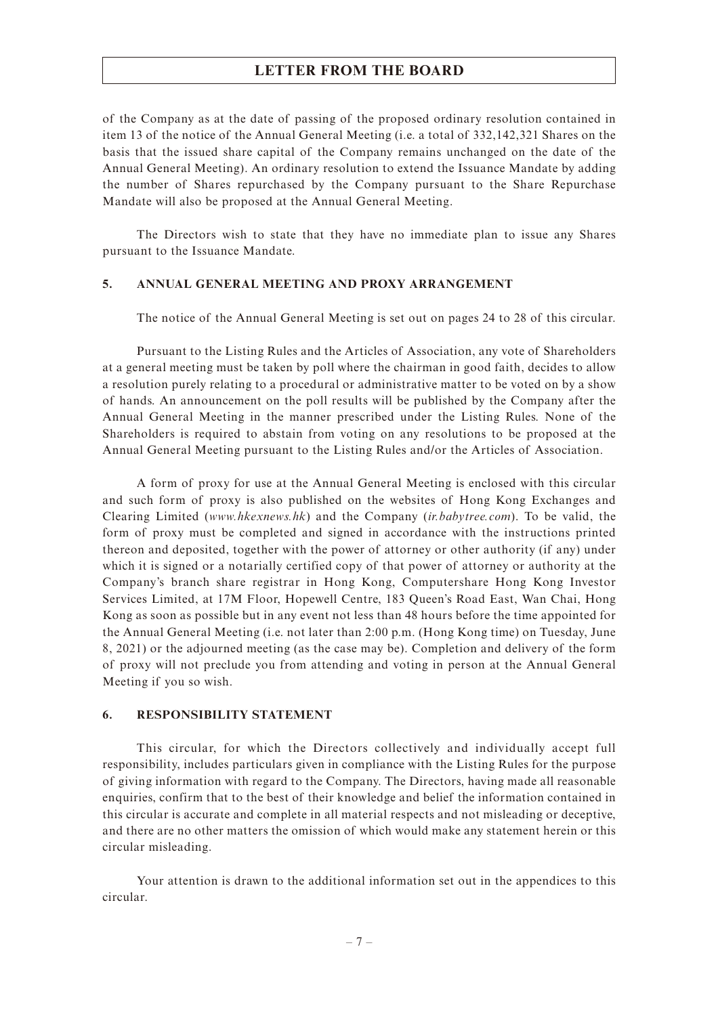of the Company as at the date of passing of the proposed ordinary resolution contained in item 13 of the notice of the Annual General Meeting (i.e. a total of 332,142,321 Shares on the basis that the issued share capital of the Company remains unchanged on the date of the Annual General Meeting). An ordinary resolution to extend the Issuance Mandate by adding the number of Shares repurchased by the Company pursuant to the Share Repurchase Mandate will also be proposed at the Annual General Meeting.

The Directors wish to state that they have no immediate plan to issue any Shares pursuant to the Issuance Mandate.

#### **5. ANNUAL GENERAL MEETING AND PROXY ARRANGEMENT**

The notice of the Annual General Meeting is set out on pages 24 to 28 of this circular.

Pursuant to the Listing Rules and the Articles of Association, any vote of Shareholders at a general meeting must be taken by poll where the chairman in good faith, decides to allow a resolution purely relating to a procedural or administrative matter to be voted on by a show of hands. An announcement on the poll results will be published by the Company after the Annual General Meeting in the manner prescribed under the Listing Rules. None of the Shareholders is required to abstain from voting on any resolutions to be proposed at the Annual General Meeting pursuant to the Listing Rules and/or the Articles of Association.

A form of proxy for use at the Annual General Meeting is enclosed with this circular and such form of proxy is also published on the websites of Hong Kong Exchanges and Clearing Limited (*www.hkexnews.hk*) and the Company (*ir.babytree.com*). To be valid, the form of proxy must be completed and signed in accordance with the instructions printed thereon and deposited, together with the power of attorney or other authority (if any) under which it is signed or a notarially certified copy of that power of attorney or authority at the Company's branch share registrar in Hong Kong, Computershare Hong Kong Investor Services Limited, at 17M Floor, Hopewell Centre, 183 Queen's Road East, Wan Chai, Hong Kong as soon as possible but in any event not less than 48 hours before the time appointed for the Annual General Meeting (i.e. not later than 2:00 p.m. (Hong Kong time) on Tuesday, June 8, 2021) or the adjourned meeting (as the case may be). Completion and delivery of the form of proxy will not preclude you from attending and voting in person at the Annual General Meeting if you so wish.

#### **6. RESPONSIBILITY STATEMENT**

This circular, for which the Directors collectively and individually accept full responsibility, includes particulars given in compliance with the Listing Rules for the purpose of giving information with regard to the Company. The Directors, having made all reasonable enquiries, confirm that to the best of their knowledge and belief the information contained in this circular is accurate and complete in all material respects and not misleading or deceptive, and there are no other matters the omission of which would make any statement herein or this circular misleading.

Your attention is drawn to the additional information set out in the appendices to this circular.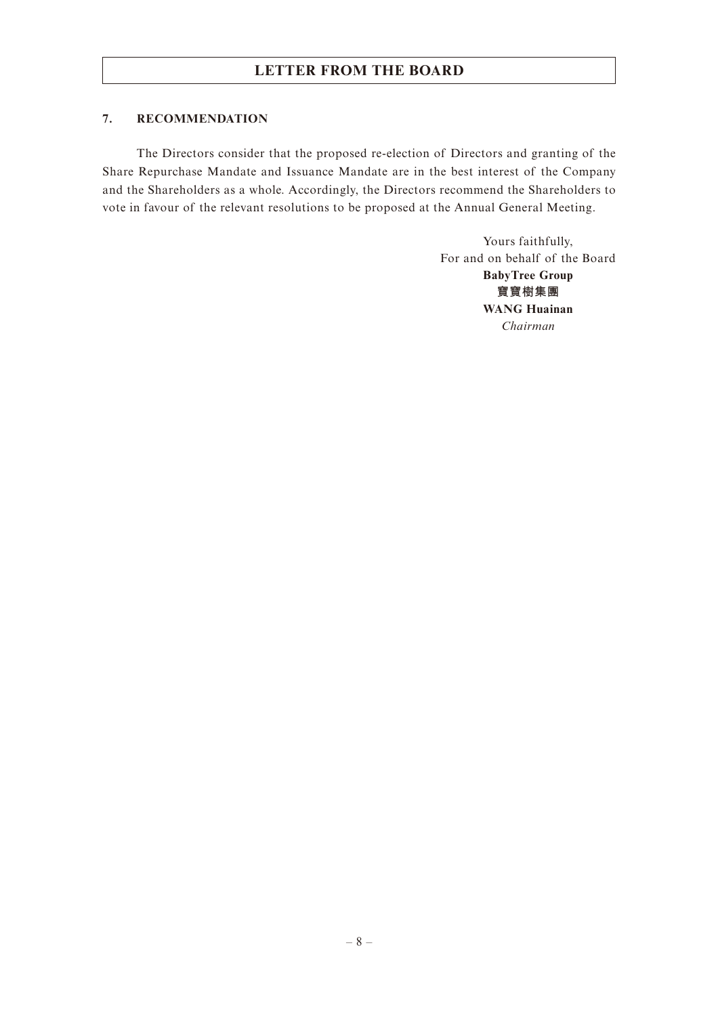#### **7. RECOMMENDATION**

The Directors consider that the proposed re-election of Directors and granting of the Share Repurchase Mandate and Issuance Mandate are in the best interest of the Company and the Shareholders as a whole. Accordingly, the Directors recommend the Shareholders to vote in favour of the relevant resolutions to be proposed at the Annual General Meeting.

> Yours faithfully, For and on behalf of the Board **BabyTree Group 寶寶樹集團 WANG Huainan** *Chairman*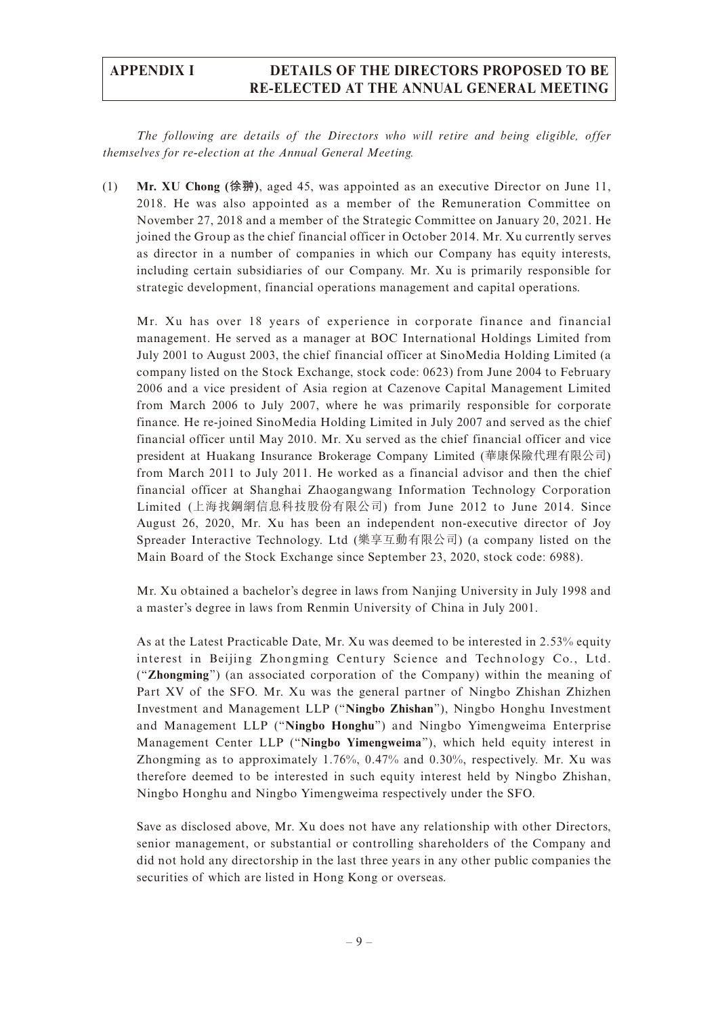*The following are details of the Directors who will retire and being eligible, offer themselves for re-election at the Annual General Meeting.*

(1) **Mr. XU Chong (徐翀)**, aged 45, was appointed as an executive Director on June 11, 2018. He was also appointed as a member of the Remuneration Committee on November 27, 2018 and a member of the Strategic Committee on January 20, 2021. He joined the Group as the chief financial officer in October 2014. Mr. Xu currently serves as director in a number of companies in which our Company has equity interests, including certain subsidiaries of our Company. Mr. Xu is primarily responsible for strategic development, financial operations management and capital operations.

Mr. Xu has over 18 years of experience in corporate finance and financial management. He served as a manager at BOC International Holdings Limited from July 2001 to August 2003, the chief financial officer at SinoMedia Holding Limited (a company listed on the Stock Exchange, stock code: 0623) from June 2004 to February 2006 and a vice president of Asia region at Cazenove Capital Management Limited from March 2006 to July 2007, where he was primarily responsible for corporate finance. He re-joined SinoMedia Holding Limited in July 2007 and served as the chief financial officer until May 2010. Mr. Xu served as the chief financial officer and vice president at Huakang Insurance Brokerage Company Limited (華康保險代理有限公司) from March 2011 to July 2011. He worked as a financial advisor and then the chief financial officer at Shanghai Zhaogangwang Information Technology Corporation Limited (上海找鋼網信息科技股份有限公司) from June 2012 to June 2014. Since August 26, 2020, Mr. Xu has been an independent non-executive director of Joy Spreader Interactive Technology. Ltd (樂享互動有限公司) (a company listed on the Main Board of the Stock Exchange since September 23, 2020, stock code: 6988).

Mr. Xu obtained a bachelor's degree in laws from Nanjing University in July 1998 and a master's degree in laws from Renmin University of China in July 2001.

As at the Latest Practicable Date, Mr. Xu was deemed to be interested in 2.53% equity interest in Beijing Zhongming Century Science and Technology Co., Ltd. ("**Zhongming**") (an associated corporation of the Company) within the meaning of Part XV of the SFO. Mr. Xu was the general partner of Ningbo Zhishan Zhizhen Investment and Management LLP ("**Ningbo Zhishan**"), Ningbo Honghu Investment and Management LLP ("**Ningbo Honghu**") and Ningbo Yimengweima Enterprise Management Center LLP ("**Ningbo Yimengweima**"), which held equity interest in Zhongming as to approximately 1.76%, 0.47% and 0.30%, respectively. Mr. Xu was therefore deemed to be interested in such equity interest held by Ningbo Zhishan, Ningbo Honghu and Ningbo Yimengweima respectively under the SFO.

Save as disclosed above, Mr. Xu does not have any relationship with other Directors, senior management, or substantial or controlling shareholders of the Company and did not hold any directorship in the last three years in any other public companies the securities of which are listed in Hong Kong or overseas.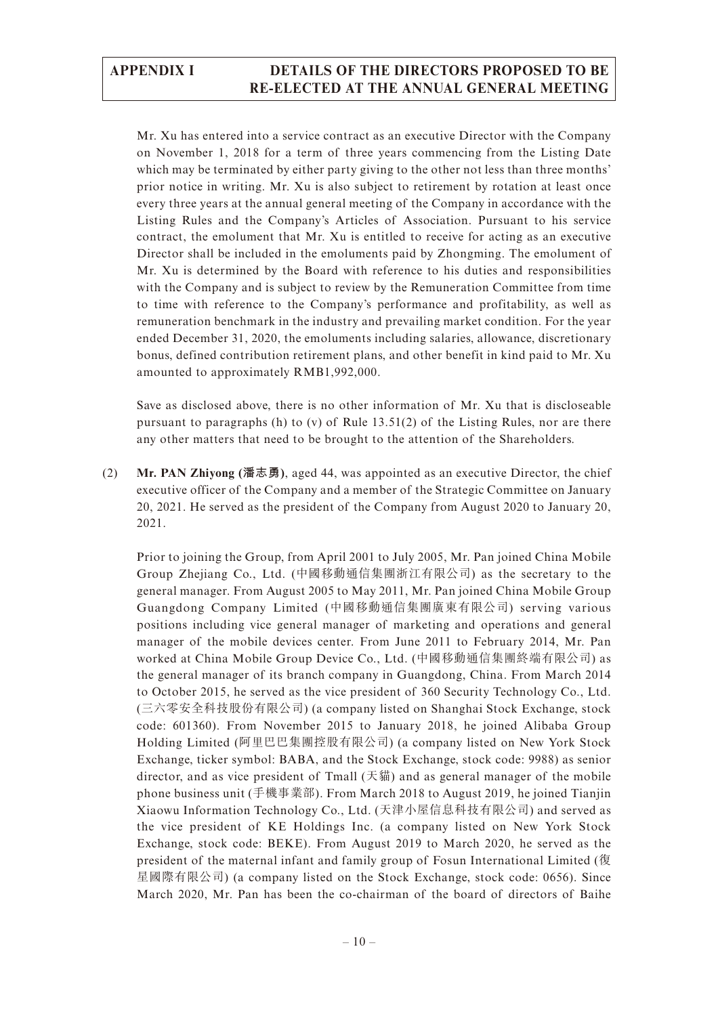Mr. Xu has entered into a service contract as an executive Director with the Company on November 1, 2018 for a term of three years commencing from the Listing Date which may be terminated by either party giving to the other not less than three months' prior notice in writing. Mr. Xu is also subject to retirement by rotation at least once every three years at the annual general meeting of the Company in accordance with the Listing Rules and the Company's Articles of Association. Pursuant to his service contract, the emolument that Mr. Xu is entitled to receive for acting as an executive Director shall be included in the emoluments paid by Zhongming. The emolument of Mr. Xu is determined by the Board with reference to his duties and responsibilities with the Company and is subject to review by the Remuneration Committee from time to time with reference to the Company's performance and profitability, as well as remuneration benchmark in the industry and prevailing market condition. For the year ended December 31, 2020, the emoluments including salaries, allowance, discretionary bonus, defined contribution retirement plans, and other benefit in kind paid to Mr. Xu amounted to approximately RMB1,992,000.

Save as disclosed above, there is no other information of Mr. Xu that is discloseable pursuant to paragraphs (h) to (v) of Rule 13.51(2) of the Listing Rules, nor are there any other matters that need to be brought to the attention of the Shareholders.

(2) **Mr. PAN Zhiyong (潘志勇)**, aged 44, was appointed as an executive Director, the chief executive officer of the Company and a member of the Strategic Committee on January 20, 2021. He served as the president of the Company from August 2020 to January 20, 2021.

Prior to joining the Group, from April 2001 to July 2005, Mr. Pan joined China Mobile Group Zhejiang Co., Ltd. (中國移動通信集團浙江有限公司) as the secretary to the general manager. From August 2005 to May 2011, Mr. Pan joined China Mobile Group Guangdong Company Limited (中國移動通信集團廣東有限公司) serving various positions including vice general manager of marketing and operations and general manager of the mobile devices center. From June 2011 to February 2014, Mr. Pan worked at China Mobile Group Device Co., Ltd. (中國移動通信集團終端有限公司) as the general manager of its branch company in Guangdong, China. From March 2014 to October 2015, he served as the vice president of 360 Security Technology Co., Ltd. (三六零安全科技股份有限公司) (a company listed on Shanghai Stock Exchange, stock code: 601360). From November 2015 to January 2018, he joined Alibaba Group Holding Limited (阿里巴巴集團控股有限公司) (a company listed on New York Stock Exchange, ticker symbol: BABA, and the Stock Exchange, stock code: 9988) as senior director, and as vice president of Tmall  $(天1)$  and as general manager of the mobile phone business unit (手機事業部). From March 2018 to August 2019, he joined Tianjin Xiaowu Information Technology Co., Ltd. (天津小屋信息科技有限公司) and served as the vice president of KE Holdings Inc. (a company listed on New York Stock Exchange, stock code: BEKE). From August 2019 to March 2020, he served as the president of the maternal infant and family group of Fosun International Limited (復 星國際有限公司) (a company listed on the Stock Exchange, stock code: 0656). Since March 2020, Mr. Pan has been the co-chairman of the board of directors of Baihe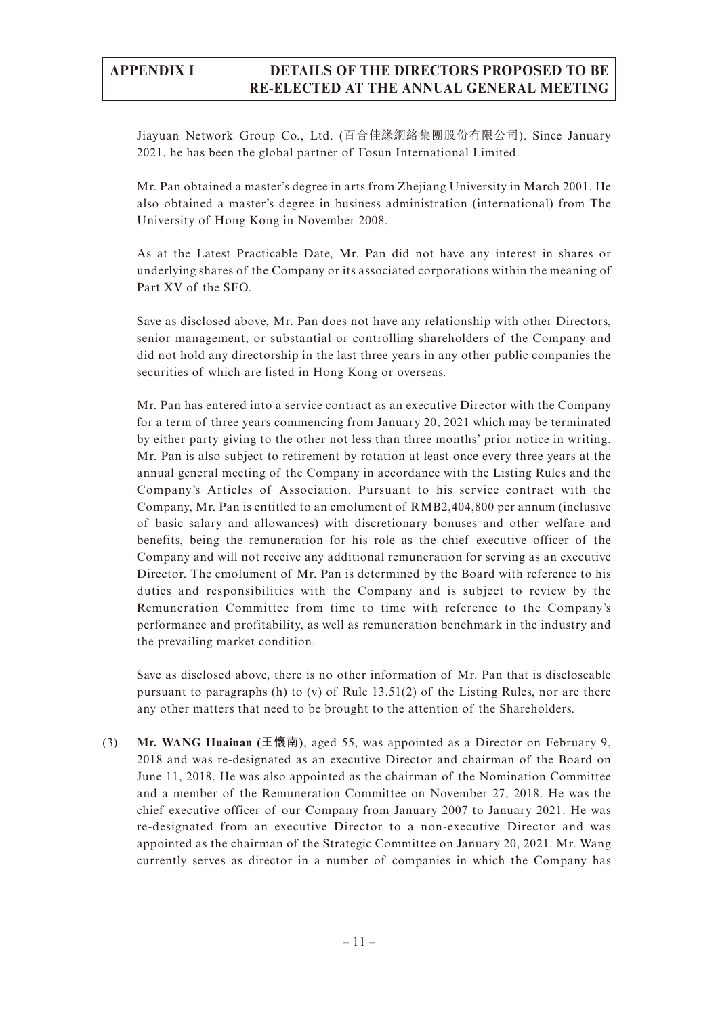Jiayuan Network Group Co., Ltd. (百合佳緣網絡集團股份有限公司). Since January 2021, he has been the global partner of Fosun International Limited.

Mr. Pan obtained a master's degree in arts from Zhejiang University in March 2001. He also obtained a master's degree in business administration (international) from The University of Hong Kong in November 2008.

As at the Latest Practicable Date, Mr. Pan did not have any interest in shares or underlying shares of the Company or its associated corporations within the meaning of Part XV of the SFO.

Save as disclosed above, Mr. Pan does not have any relationship with other Directors, senior management, or substantial or controlling shareholders of the Company and did not hold any directorship in the last three years in any other public companies the securities of which are listed in Hong Kong or overseas.

Mr. Pan has entered into a service contract as an executive Director with the Company for a term of three years commencing from January 20, 2021 which may be terminated by either party giving to the other not less than three months' prior notice in writing. Mr. Pan is also subject to retirement by rotation at least once every three years at the annual general meeting of the Company in accordance with the Listing Rules and the Company's Articles of Association. Pursuant to his service contract with the Company, Mr. Pan is entitled to an emolument of RMB2,404,800 per annum (inclusive of basic salary and allowances) with discretionary bonuses and other welfare and benefits, being the remuneration for his role as the chief executive officer of the Company and will not receive any additional remuneration for serving as an executive Director. The emolument of Mr. Pan is determined by the Board with reference to his duties and responsibilities with the Company and is subject to review by the Remuneration Committee from time to time with reference to the Company's performance and profitability, as well as remuneration benchmark in the industry and the prevailing market condition.

Save as disclosed above, there is no other information of Mr. Pan that is discloseable pursuant to paragraphs (h) to (v) of Rule  $13.51(2)$  of the Listing Rules, nor are there any other matters that need to be brought to the attention of the Shareholders.

(3) **Mr. WANG Huainan (王懷南)**, aged 55, was appointed as a Director on February 9, 2018 and was re-designated as an executive Director and chairman of the Board on June 11, 2018. He was also appointed as the chairman of the Nomination Committee and a member of the Remuneration Committee on November 27, 2018. He was the chief executive officer of our Company from January 2007 to January 2021. He was re-designated from an executive Director to a non-executive Director and was appointed as the chairman of the Strategic Committee on January 20, 2021. Mr. Wang currently serves as director in a number of companies in which the Company has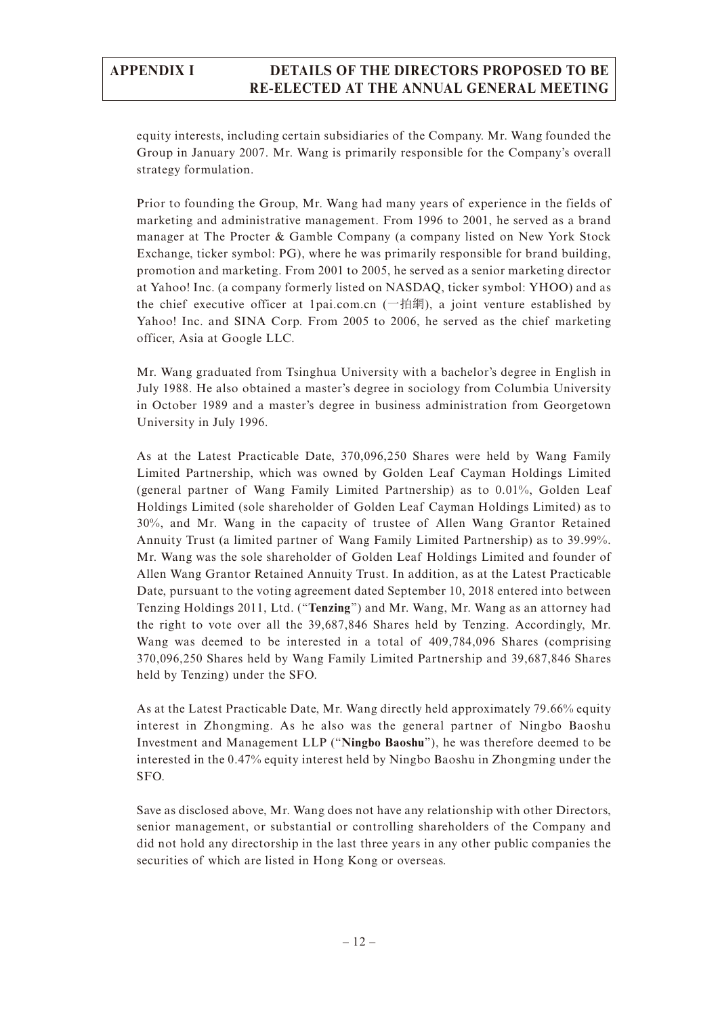equity interests, including certain subsidiaries of the Company. Mr. Wang founded the Group in January 2007. Mr. Wang is primarily responsible for the Company's overall strategy formulation.

Prior to founding the Group, Mr. Wang had many years of experience in the fields of marketing and administrative management. From 1996 to 2001, he served as a brand manager at The Procter & Gamble Company (a company listed on New York Stock Exchange, ticker symbol: PG), where he was primarily responsible for brand building, promotion and marketing. From 2001 to 2005, he served as a senior marketing director at Yahoo! Inc. (a company formerly listed on NASDAQ, ticker symbol: YHOO) and as the chief executive officer at 1pai.com.cn  $(\nightharpoonup$ 拍網), a joint venture established by Yahoo! Inc. and SINA Corp. From 2005 to 2006, he served as the chief marketing officer, Asia at Google LLC.

Mr. Wang graduated from Tsinghua University with a bachelor's degree in English in July 1988. He also obtained a master's degree in sociology from Columbia University in October 1989 and a master's degree in business administration from Georgetown University in July 1996.

As at the Latest Practicable Date, 370,096,250 Shares were held by Wang Family Limited Partnership, which was owned by Golden Leaf Cayman Holdings Limited (general partner of Wang Family Limited Partnership) as to 0.01%, Golden Leaf Holdings Limited (sole shareholder of Golden Leaf Cayman Holdings Limited) as to 30%, and Mr. Wang in the capacity of trustee of Allen Wang Grantor Retained Annuity Trust (a limited partner of Wang Family Limited Partnership) as to 39.99%. Mr. Wang was the sole shareholder of Golden Leaf Holdings Limited and founder of Allen Wang Grantor Retained Annuity Trust. In addition, as at the Latest Practicable Date, pursuant to the voting agreement dated September 10, 2018 entered into between Tenzing Holdings 2011, Ltd. ("**Tenzing**") and Mr. Wang, Mr. Wang as an attorney had the right to vote over all the 39,687,846 Shares held by Tenzing. Accordingly, Mr. Wang was deemed to be interested in a total of 409,784,096 Shares (comprising 370,096,250 Shares held by Wang Family Limited Partnership and 39,687,846 Shares held by Tenzing) under the SFO.

As at the Latest Practicable Date, Mr. Wang directly held approximately 79.66% equity interest in Zhongming. As he also was the general partner of Ningbo Baoshu Investment and Management LLP ("**Ningbo Baoshu**"), he was therefore deemed to be interested in the 0.47% equity interest held by Ningbo Baoshu in Zhongming under the SFO.

Save as disclosed above, Mr. Wang does not have any relationship with other Directors, senior management, or substantial or controlling shareholders of the Company and did not hold any directorship in the last three years in any other public companies the securities of which are listed in Hong Kong or overseas.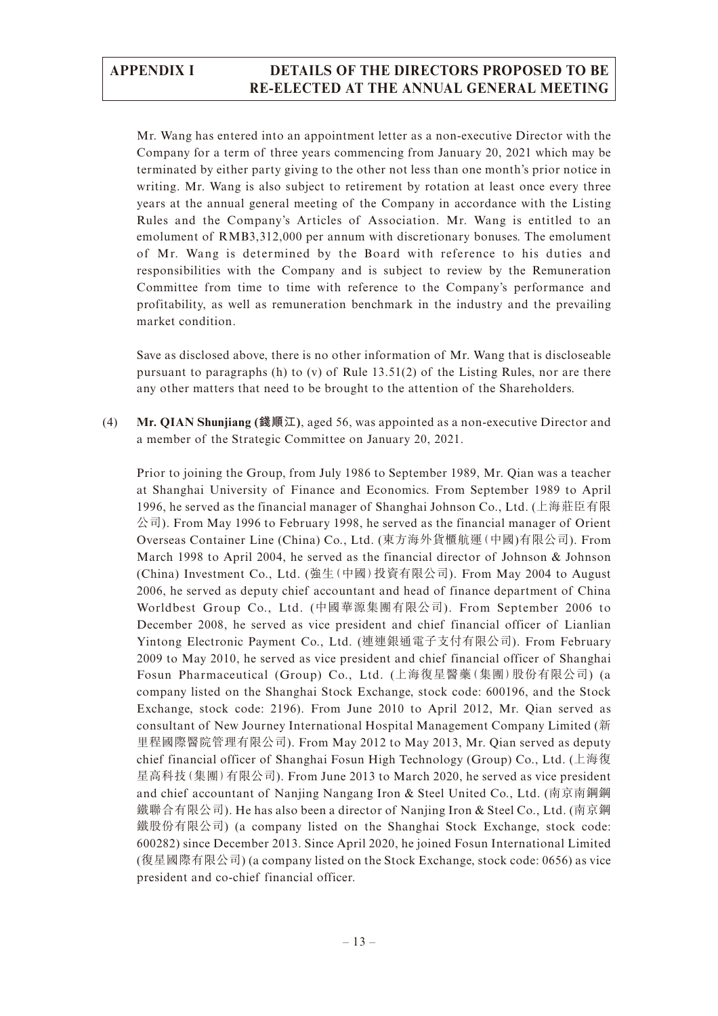Mr. Wang has entered into an appointment letter as a non-executive Director with the Company for a term of three years commencing from January 20, 2021 which may be terminated by either party giving to the other not less than one month's prior notice in writing. Mr. Wang is also subject to retirement by rotation at least once every three years at the annual general meeting of the Company in accordance with the Listing Rules and the Company's Articles of Association. Mr. Wang is entitled to an emolument of RMB3,312,000 per annum with discretionary bonuses. The emolument of Mr. Wang is determined by the Board with reference to his duties and responsibilities with the Company and is subject to review by the Remuneration Committee from time to time with reference to the Company's performance and profitability, as well as remuneration benchmark in the industry and the prevailing market condition.

Save as disclosed above, there is no other information of Mr. Wang that is discloseable pursuant to paragraphs (h) to (v) of Rule 13.51(2) of the Listing Rules, nor are there any other matters that need to be brought to the attention of the Shareholders.

(4) **Mr. QIAN Shunjiang (錢順江)**, aged 56, was appointed as a non-executive Director and a member of the Strategic Committee on January 20, 2021.

Prior to joining the Group, from July 1986 to September 1989, Mr. Qian was a teacher at Shanghai University of Finance and Economics. From September 1989 to April 1996, he served as the financial manager of Shanghai Johnson Co., Ltd. (上海莊臣有限  $\Diamond$ 司). From May 1996 to February 1998, he served as the financial manager of Orient Overseas Container Line (China) Co., Ltd. (東方海外貨櫃航運(中國)有限公司). From March 1998 to April 2004, he served as the financial director of Johnson & Johnson (China) Investment Co., Ltd. (強生(中國)投資有限公司). From May 2004 to August 2006, he served as deputy chief accountant and head of finance department of China Worldbest Group Co., Ltd. (中國華源集團有限公司). From September 2006 to December 2008, he served as vice president and chief financial officer of Lianlian Yintong Electronic Payment Co., Ltd. (連連銀通電子支付有限公司). From February 2009 to May 2010, he served as vice president and chief financial officer of Shanghai Fosun Pharmaceutical (Group) Co., Ltd. (上海復星醫藥(集團)股份有限公司) (a company listed on the Shanghai Stock Exchange, stock code: 600196, and the Stock Exchange, stock code: 2196). From June 2010 to April 2012, Mr. Qian served as consultant of New Journey International Hospital Management Company Limited (新 里程國際醫院管理有限公司). From May 2012 to May 2013, Mr. Qian served as deputy chief financial officer of Shanghai Fosun High Technology (Group) Co., Ltd. (上海復 星高科技(集團)有限公司). From June 2013 to March 2020, he served as vice president and chief accountant of Nanjing Nangang Iron & Steel United Co., Ltd. (南京南鋼鋼 鐵聯合有限公司). He has also been a director of Nanjing Iron & Steel Co., Ltd. (南京鋼 鐵股份有限公司) (a company listed on the Shanghai Stock Exchange, stock code: 600282) since December 2013. Since April 2020, he joined Fosun International Limited (復星國際有限公司) (a company listed on the Stock Exchange, stock code: 0656) as vice president and co-chief financial officer.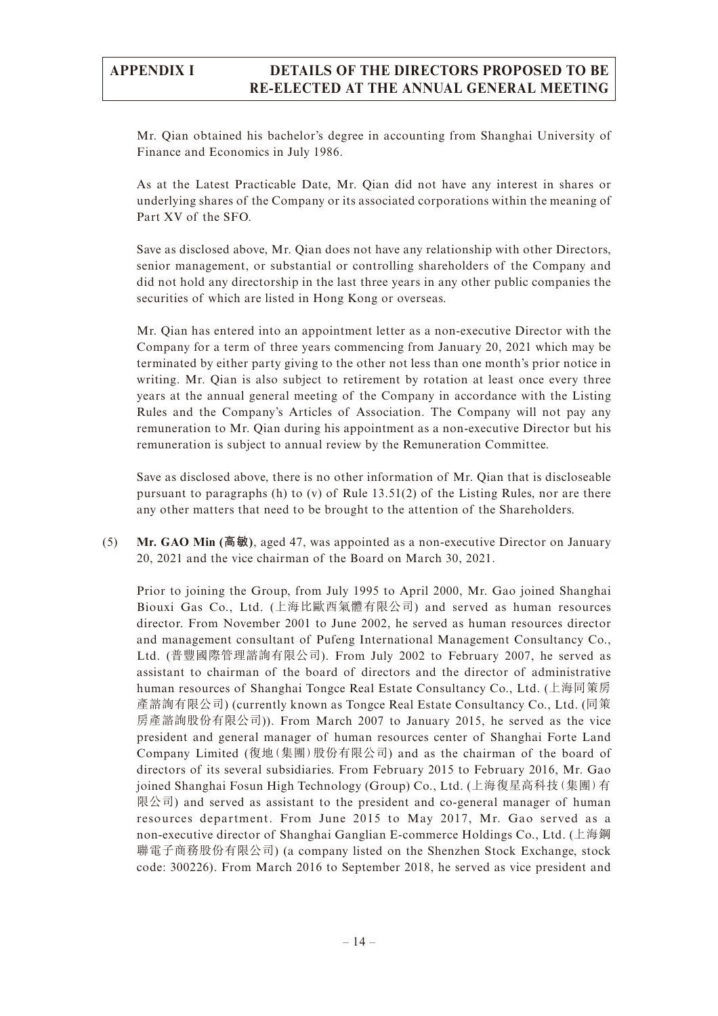Mr. Qian obtained his bachelor's degree in accounting from Shanghai University of Finance and Economics in July 1986.

As at the Latest Practicable Date, Mr. Qian did not have any interest in shares or underlying shares of the Company or its associated corporations within the meaning of Part XV of the SFO.

Save as disclosed above, Mr. Qian does not have any relationship with other Directors, senior management, or substantial or controlling shareholders of the Company and did not hold any directorship in the last three years in any other public companies the securities of which are listed in Hong Kong or overseas.

Mr. Qian has entered into an appointment letter as a non-executive Director with the Company for a term of three years commencing from January 20, 2021 which may be terminated by either party giving to the other not less than one month's prior notice in writing. Mr. Qian is also subject to retirement by rotation at least once every three years at the annual general meeting of the Company in accordance with the Listing Rules and the Company's Articles of Association. The Company will not pay any remuneration to Mr. Qian during his appointment as a non-executive Director but his remuneration is subject to annual review by the Remuneration Committee.

Save as disclosed above, there is no other information of Mr. Qian that is discloseable pursuant to paragraphs (h) to (v) of Rule 13.51(2) of the Listing Rules, nor are there any other matters that need to be brought to the attention of the Shareholders.

(5) **Mr. GAO Min (高敏)**, aged 47, was appointed as a non-executive Director on January 20, 2021 and the vice chairman of the Board on March 30, 2021.

Prior to joining the Group, from July 1995 to April 2000, Mr. Gao joined Shanghai Biouxi Gas Co., Ltd. (上海比歐西氣體有限公司) and served as human resources director. From November 2001 to June 2002, he served as human resources director and management consultant of Pufeng International Management Consultancy Co., Ltd. (普豐國際管理諮詢有限公司). From July 2002 to February 2007, he served as assistant to chairman of the board of directors and the director of administrative human resources of Shanghai Tongce Real Estate Consultancy Co., Ltd. (上海同策房 產諮詢有限公司) (currently known as Tongce Real Estate Consultancy Co., Ltd. (同策 房產諮詢股份有限公司)). From March 2007 to January 2015, he served as the vice president and general manager of human resources center of Shanghai Forte Land Company Limited (復地(集團)股份有限公司) and as the chairman of the board of directors of its several subsidiaries. From February 2015 to February 2016, Mr. Gao joined Shanghai Fosun High Technology (Group) Co., Ltd. (上海復星高科技(集團)有 限公司) and served as assistant to the president and co-general manager of human resources department. From June 2015 to May 2017, Mr. Gao served as a non-executive director of Shanghai Ganglian E-commerce Holdings Co., Ltd. (上海鋼 聯電子商務股份有限公司) (a company listed on the Shenzhen Stock Exchange, stock code: 300226). From March 2016 to September 2018, he served as vice president and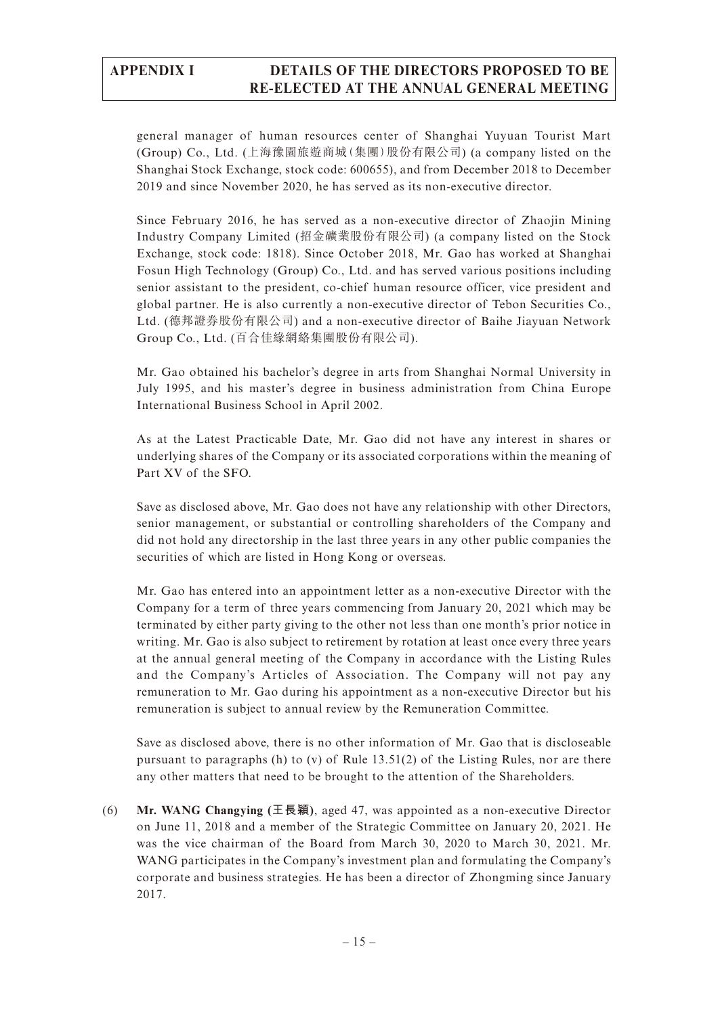general manager of human resources center of Shanghai Yuyuan Tourist Mart (Group) Co., Ltd. (上海豫園旅遊商城(集團)股份有限公司) (a company listed on the Shanghai Stock Exchange, stock code: 600655), and from December 2018 to December 2019 and since November 2020, he has served as its non-executive director.

Since February 2016, he has served as a non-executive director of Zhaojin Mining Industry Company Limited (招金礦業股份有限公司) (a company listed on the Stock Exchange, stock code: 1818). Since October 2018, Mr. Gao has worked at Shanghai Fosun High Technology (Group) Co., Ltd. and has served various positions including senior assistant to the president, co-chief human resource officer, vice president and global partner. He is also currently a non-executive director of Tebon Securities Co., Ltd. (德邦證券股份有限公司) and a non-executive director of Baihe Jiayuan Network Group Co., Ltd. (百合佳緣網絡集團股份有限公司).

Mr. Gao obtained his bachelor's degree in arts from Shanghai Normal University in July 1995, and his master's degree in business administration from China Europe International Business School in April 2002.

As at the Latest Practicable Date, Mr. Gao did not have any interest in shares or underlying shares of the Company or its associated corporations within the meaning of Part XV of the SFO.

Save as disclosed above, Mr. Gao does not have any relationship with other Directors, senior management, or substantial or controlling shareholders of the Company and did not hold any directorship in the last three years in any other public companies the securities of which are listed in Hong Kong or overseas.

Mr. Gao has entered into an appointment letter as a non-executive Director with the Company for a term of three years commencing from January 20, 2021 which may be terminated by either party giving to the other not less than one month's prior notice in writing. Mr. Gao is also subject to retirement by rotation at least once every three years at the annual general meeting of the Company in accordance with the Listing Rules and the Company's Articles of Association. The Company will not pay any remuneration to Mr. Gao during his appointment as a non-executive Director but his remuneration is subject to annual review by the Remuneration Committee.

Save as disclosed above, there is no other information of Mr. Gao that is discloseable pursuant to paragraphs (h) to (v) of Rule  $13.51(2)$  of the Listing Rules, nor are there any other matters that need to be brought to the attention of the Shareholders.

(6) **Mr. WANG Changying (王長穎)**, aged 47, was appointed as a non-executive Director on June 11, 2018 and a member of the Strategic Committee on January 20, 2021. He was the vice chairman of the Board from March 30, 2020 to March 30, 2021. Mr. WANG participates in the Company's investment plan and formulating the Company's corporate and business strategies. He has been a director of Zhongming since January 2017.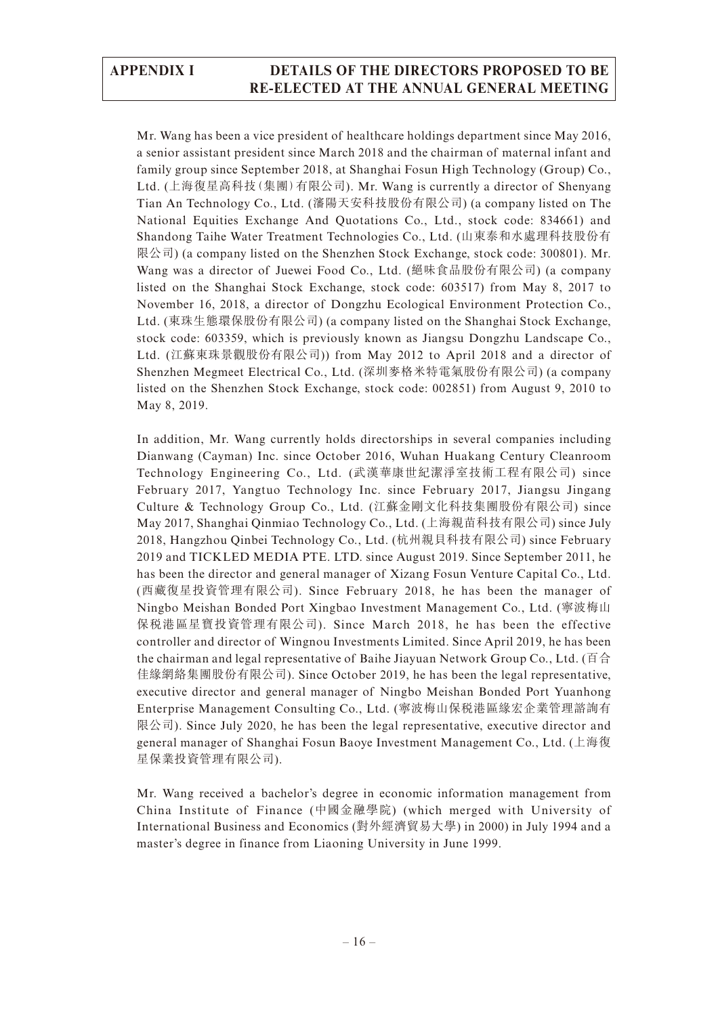Mr. Wang has been a vice president of healthcare holdings department since May 2016, a senior assistant president since March 2018 and the chairman of maternal infant and family group since September 2018, at Shanghai Fosun High Technology (Group) Co., Ltd. (上海復星高科技(集團)有限公司). Mr. Wang is currently a director of Shenyang Tian An Technology Co., Ltd. (瀋陽天安科技股份有限公司) (a company listed on The National Equities Exchange And Quotations Co., Ltd., stock code: 834661) and Shandong Taihe Water Treatment Technologies Co., Ltd. (山東泰和水處理科技股份有 限公司) (a company listed on the Shenzhen Stock Exchange, stock code: 300801). Mr. Wang was a director of Juewei Food Co., Ltd. (絕味食品股份有限公司) (a company listed on the Shanghai Stock Exchange, stock code: 603517) from May 8, 2017 to November 16, 2018, a director of Dongzhu Ecological Environment Protection Co., Ltd. (東珠生態環保股份有限公司) (a company listed on the Shanghai Stock Exchange, stock code: 603359, which is previously known as Jiangsu Dongzhu Landscape Co., Ltd. (江蘇東珠景觀股份有限公司)) from May 2012 to April 2018 and a director of Shenzhen Megmeet Electrical Co., Ltd. (深圳麥格米特電氣股份有限公司) (a company listed on the Shenzhen Stock Exchange, stock code: 002851) from August 9, 2010 to May 8, 2019.

In addition, Mr. Wang currently holds directorships in several companies including Dianwang (Cayman) Inc. since October 2016, Wuhan Huakang Century Cleanroom Technology Engineering Co., Ltd. (武漢華康世紀潔淨室技術工程有限公司) since February 2017, Yangtuo Technology Inc. since February 2017, Jiangsu Jingang Culture & Technology Group Co., Ltd. (江蘇金剛文化科技集團股份有限公司) since May 2017, Shanghai Qinmiao Technology Co., Ltd. (上海親苗科技有限公司) since July 2018, Hangzhou Qinbei Technology Co., Ltd. (杭州親貝科技有限公司) since February 2019 and TICKLED MEDIA PTE. LTD. since August 2019. Since September 2011, he has been the director and general manager of Xizang Fosun Venture Capital Co., Ltd. (西藏復星投資管理有限公司). Since February 2018, he has been the manager of Ningbo Meishan Bonded Port Xingbao Investment Management Co., Ltd. (寧波梅山 保稅港區星寶投資管理有限公司). Since March 2018, he has been the effective controller and director of Wingnou Investments Limited. Since April 2019, he has been the chairman and legal representative of Baihe Jiayuan Network Group Co., Ltd. (百合 佳緣網絡集團股份有限公司). Since October 2019, he has been the legal representative, executive director and general manager of Ningbo Meishan Bonded Port Yuanhong Enterprise Management Consulting Co., Ltd. (寧波梅山保稅港區緣宏企業管理諮詢有 限公司). Since July 2020, he has been the legal representative, executive director and general manager of Shanghai Fosun Baoye Investment Management Co., Ltd. (上海復 星保業投資管理有限公司).

Mr. Wang received a bachelor's degree in economic information management from China Institute of Finance (中國金融學院) (which merged with University of International Business and Economics (對外經濟貿易大學) in 2000) in July 1994 and a master's degree in finance from Liaoning University in June 1999.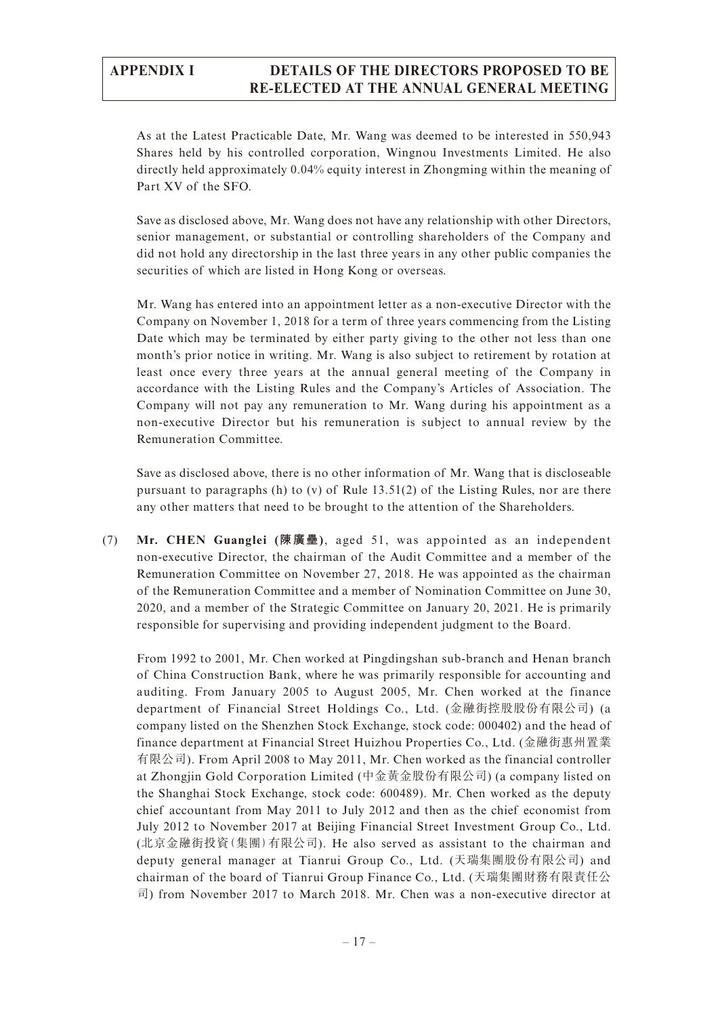As at the Latest Practicable Date, Mr. Wang was deemed to be interested in 550,943 Shares held by his controlled corporation, Wingnou Investments Limited. He also directly held approximately 0.04% equity interest in Zhongming within the meaning of Part XV of the SFO.

Save as disclosed above, Mr. Wang does not have any relationship with other Directors, senior management, or substantial or controlling shareholders of the Company and did not hold any directorship in the last three years in any other public companies the securities of which are listed in Hong Kong or overseas.

Mr. Wang has entered into an appointment letter as a non-executive Director with the Company on November 1, 2018 for a term of three years commencing from the Listing Date which may be terminated by either party giving to the other not less than one month's prior notice in writing. Mr. Wang is also subject to retirement by rotation at least once every three years at the annual general meeting of the Company in accordance with the Listing Rules and the Company's Articles of Association. The Company will not pay any remuneration to Mr. Wang during his appointment as a non-executive Director but his remuneration is subject to annual review by the Remuneration Committee.

Save as disclosed above, there is no other information of Mr. Wang that is discloseable pursuant to paragraphs (h) to (v) of Rule 13.51(2) of the Listing Rules, nor are there any other matters that need to be brought to the attention of the Shareholders.

(7) **Mr. CHEN Guanglei (陳廣壘)**, aged 51, was appointed as an independent non-executive Director, the chairman of the Audit Committee and a member of the Remuneration Committee on November 27, 2018. He was appointed as the chairman of the Remuneration Committee and a member of Nomination Committee on June 30, 2020, and a member of the Strategic Committee on January 20, 2021. He is primarily responsible for supervising and providing independent judgment to the Board.

From 1992 to 2001, Mr. Chen worked at Pingdingshan sub-branch and Henan branch of China Construction Bank, where he was primarily responsible for accounting and auditing. From January 2005 to August 2005, Mr. Chen worked at the finance department of Financial Street Holdings Co., Ltd. (金融街控股股份有限公司) (a company listed on the Shenzhen Stock Exchange, stock code: 000402) and the head of finance department at Financial Street Huizhou Properties Co., Ltd. (金融街惠州置業 有限公司). From April 2008 to May 2011, Mr. Chen worked as the financial controller at Zhongjin Gold Corporation Limited (中金黃金股份有限公司) (a company listed on the Shanghai Stock Exchange, stock code: 600489). Mr. Chen worked as the deputy chief accountant from May 2011 to July 2012 and then as the chief economist from July 2012 to November 2017 at Beijing Financial Street Investment Group Co., Ltd. (北京金融街投資(集團)有限公司). He also served as assistant to the chairman and deputy general manager at Tianrui Group Co., Ltd. (天瑞集團股份有限公司) and chairman of the board of Tianrui Group Finance Co., Ltd. (天瑞集團財務有限責任公 司) from November 2017 to March 2018. Mr. Chen was a non-executive director at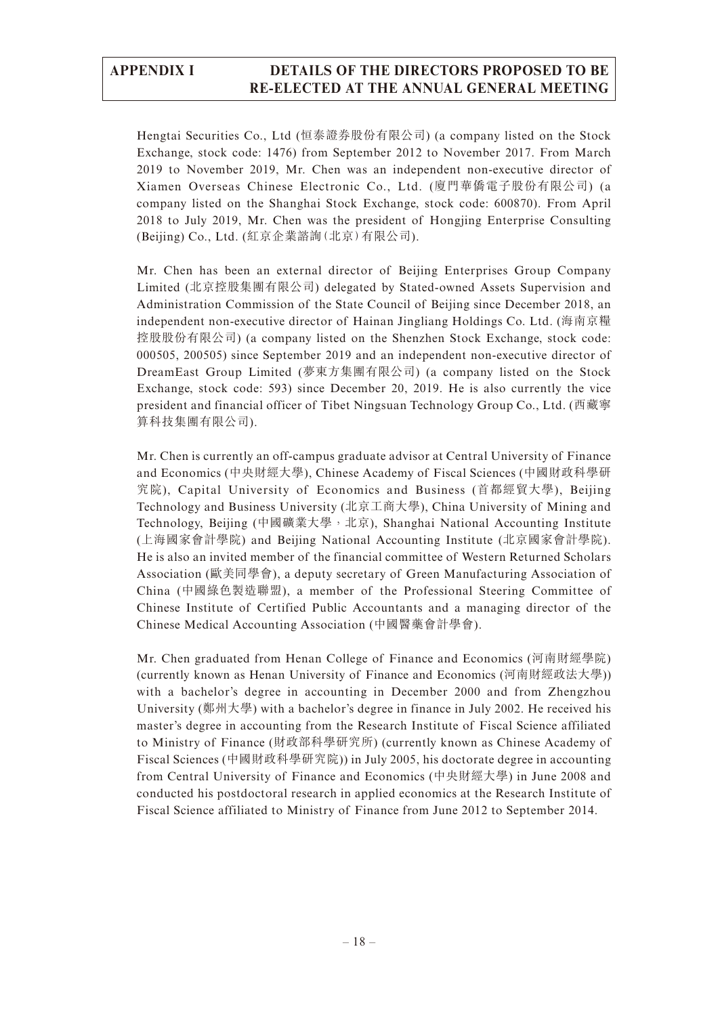Hengtai Securities Co., Ltd (恒泰證券股份有限公司) (a company listed on the Stock Exchange, stock code: 1476) from September 2012 to November 2017. From March 2019 to November 2019, Mr. Chen was an independent non-executive director of Xiamen Overseas Chinese Electronic Co., Ltd. (廈門華僑電子股份有限公司) (a company listed on the Shanghai Stock Exchange, stock code: 600870). From April 2018 to July 2019, Mr. Chen was the president of Hongjing Enterprise Consulting (Beijing) Co., Ltd. (紅京企業諮詢(北京)有限公司).

Mr. Chen has been an external director of Beijing Enterprises Group Company Limited (北京控股集團有限公司) delegated by Stated-owned Assets Supervision and Administration Commission of the State Council of Beijing since December 2018, an independent non-executive director of Hainan Jingliang Holdings Co. Ltd. (海南京糧 控股股份有限公司) (a company listed on the Shenzhen Stock Exchange, stock code: 000505, 200505) since September 2019 and an independent non-executive director of DreamEast Group Limited (夢東方集團有限公司) (a company listed on the Stock Exchange, stock code: 593) since December 20, 2019. He is also currently the vice president and financial officer of Tibet Ningsuan Technology Group Co., Ltd. (西藏寧 算科技集團有限公司).

Mr. Chen is currently an off-campus graduate advisor at Central University of Finance and Economics (中央財經大學), Chinese Academy of Fiscal Sciences (中國財政科學研 究院), Capital University of Economics and Business (首都經貿大學), Beijing Technology and Business University (北京工商大學), China University of Mining and Technology, Beijing (中國礦業大學, 北京), Shanghai National Accounting Institute (上海國家會計學院) and Beijing National Accounting Institute (北京國家會計學院). He is also an invited member of the financial committee of Western Returned Scholars Association (歐美同學會), a deputy secretary of Green Manufacturing Association of China (中國綠色製造聯盟), a member of the Professional Steering Committee of Chinese Institute of Certified Public Accountants and a managing director of the Chinese Medical Accounting Association (中國醫藥會計學會).

Mr. Chen graduated from Henan College of Finance and Economics (河南財經學院) (currently known as Henan University of Finance and Economics (河南財經政法大學)) with a bachelor's degree in accounting in December 2000 and from Zhengzhou University (鄭州大學) with a bachelor's degree in finance in July 2002. He received his master's degree in accounting from the Research Institute of Fiscal Science affiliated to Ministry of Finance (財政部科學研究所) (currently known as Chinese Academy of Fiscal Sciences (中國財政科學研究院)) in July 2005, his doctorate degree in accounting from Central University of Finance and Economics (中央財經大學) in June 2008 and conducted his postdoctoral research in applied economics at the Research Institute of Fiscal Science affiliated to Ministry of Finance from June 2012 to September 2014.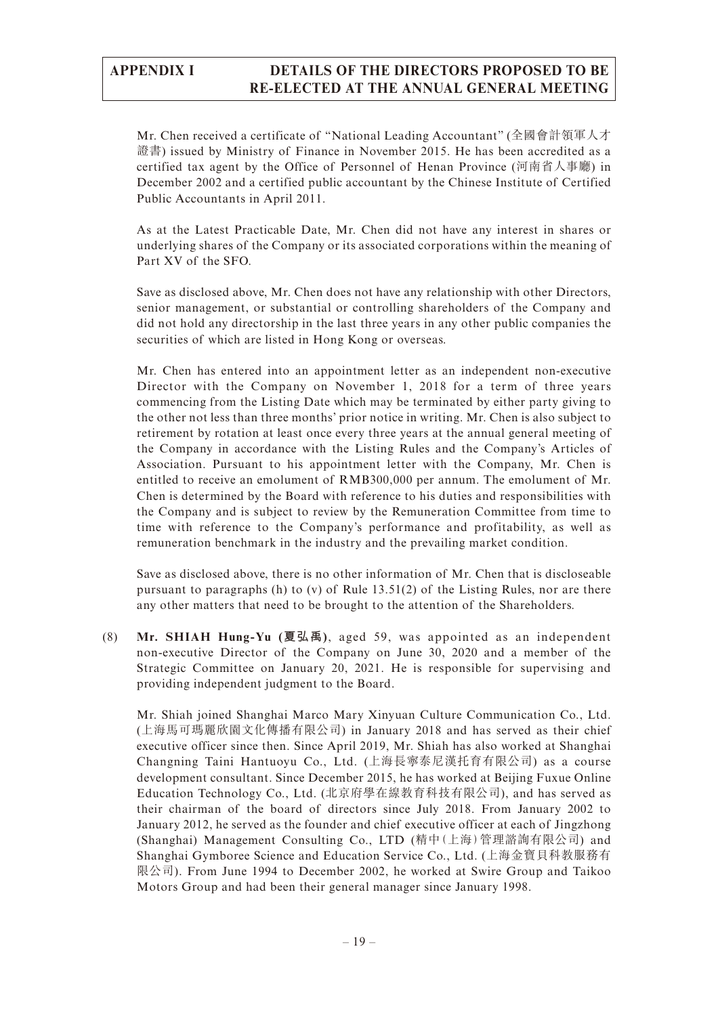Mr. Chen received a certificate of "National Leading Accountant" (全國會計領軍人才 證書) issued by Ministry of Finance in November 2015. He has been accredited as a certified tax agent by the Office of Personnel of Henan Province (河南省人事廳) in December 2002 and a certified public accountant by the Chinese Institute of Certified Public Accountants in April 2011.

As at the Latest Practicable Date, Mr. Chen did not have any interest in shares or underlying shares of the Company or its associated corporations within the meaning of Part XV of the SFO.

Save as disclosed above, Mr. Chen does not have any relationship with other Directors, senior management, or substantial or controlling shareholders of the Company and did not hold any directorship in the last three years in any other public companies the securities of which are listed in Hong Kong or overseas.

Mr. Chen has entered into an appointment letter as an independent non-executive Director with the Company on November 1, 2018 for a term of three years commencing from the Listing Date which may be terminated by either party giving to the other not less than three months' prior notice in writing. Mr. Chen is also subject to retirement by rotation at least once every three years at the annual general meeting of the Company in accordance with the Listing Rules and the Company's Articles of Association. Pursuant to his appointment letter with the Company, Mr. Chen is entitled to receive an emolument of RMB300,000 per annum. The emolument of Mr. Chen is determined by the Board with reference to his duties and responsibilities with the Company and is subject to review by the Remuneration Committee from time to time with reference to the Company's performance and profitability, as well as remuneration benchmark in the industry and the prevailing market condition.

Save as disclosed above, there is no other information of Mr. Chen that is discloseable pursuant to paragraphs (h) to (v) of Rule 13.51(2) of the Listing Rules, nor are there any other matters that need to be brought to the attention of the Shareholders.

(8) **Mr. SHIAH Hung-Yu (夏弘禹)**, aged 59, was appointed as an independent non-executive Director of the Company on June 30, 2020 and a member of the Strategic Committee on January 20, 2021. He is responsible for supervising and providing independent judgment to the Board.

Mr. Shiah joined Shanghai Marco Mary Xinyuan Culture Communication Co., Ltd. (上海馬可瑪麗欣園文化傳播有限公司) in January 2018 and has served as their chief executive officer since then. Since April 2019, Mr. Shiah has also worked at Shanghai Changning Taini Hantuoyu Co., Ltd. (上海長寧泰尼漢托育有限公司) as a course development consultant. Since December 2015, he has worked at Beijing Fuxue Online Education Technology Co., Ltd. (北京府學在線教育科技有限公司), and has served as their chairman of the board of directors since July 2018. From January 2002 to January 2012, he served as the founder and chief executive officer at each of Jingzhong (Shanghai) Management Consulting Co., LTD (精中(上海)管理諮詢有限公司) and Shanghai Gymboree Science and Education Service Co., Ltd. (上海金寶貝科教服務有 限公司). From June 1994 to December 2002, he worked at Swire Group and Taikoo Motors Group and had been their general manager since January 1998.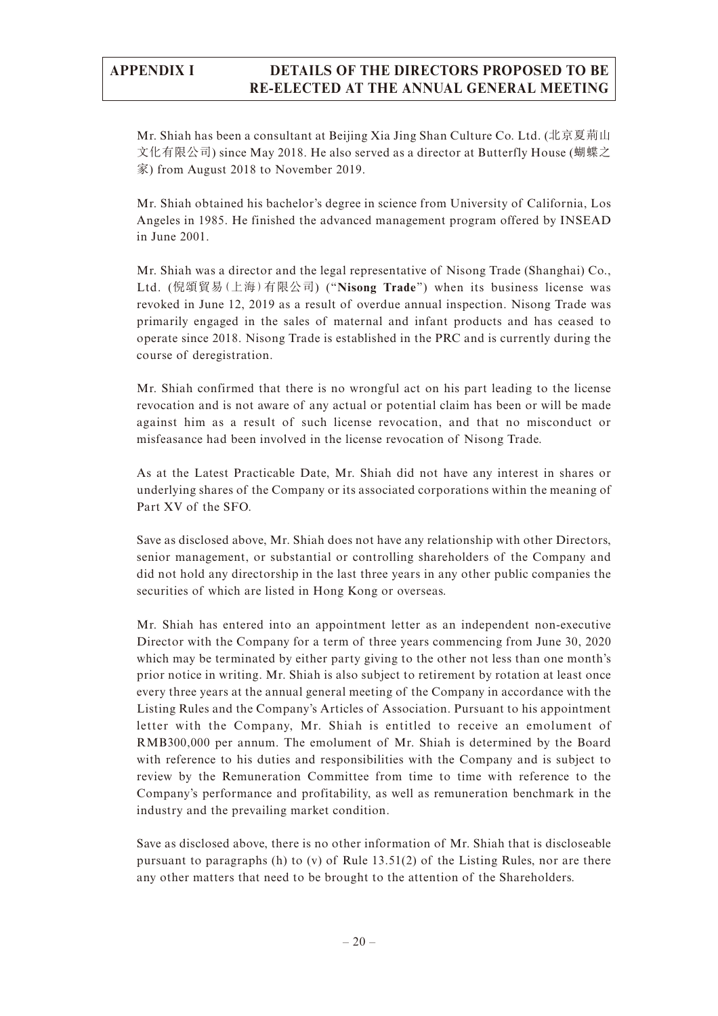Mr. Shiah has been a consultant at Beijing Xia Jing Shan Culture Co. Ltd. (北京夏荊山 文化有限公司) since May 2018. He also served as a director at Butterfly House (蝴蝶之 家) from August 2018 to November 2019.

Mr. Shiah obtained his bachelor's degree in science from University of California, Los Angeles in 1985. He finished the advanced management program offered by INSEAD in June 2001.

Mr. Shiah was a director and the legal representative of Nisong Trade (Shanghai) Co., Ltd. (倪頌貿易(上海)有限公司) ("**Nisong Trade**") when its business license was revoked in June 12, 2019 as a result of overdue annual inspection. Nisong Trade was primarily engaged in the sales of maternal and infant products and has ceased to operate since 2018. Nisong Trade is established in the PRC and is currently during the course of deregistration.

Mr. Shiah confirmed that there is no wrongful act on his part leading to the license revocation and is not aware of any actual or potential claim has been or will be made against him as a result of such license revocation, and that no misconduct or misfeasance had been involved in the license revocation of Nisong Trade.

As at the Latest Practicable Date, Mr. Shiah did not have any interest in shares or underlying shares of the Company or its associated corporations within the meaning of Part XV of the SFO.

Save as disclosed above, Mr. Shiah does not have any relationship with other Directors, senior management, or substantial or controlling shareholders of the Company and did not hold any directorship in the last three years in any other public companies the securities of which are listed in Hong Kong or overseas.

Mr. Shiah has entered into an appointment letter as an independent non-executive Director with the Company for a term of three years commencing from June 30, 2020 which may be terminated by either party giving to the other not less than one month's prior notice in writing. Mr. Shiah is also subject to retirement by rotation at least once every three years at the annual general meeting of the Company in accordance with the Listing Rules and the Company's Articles of Association. Pursuant to his appointment letter with the Company, Mr. Shiah is entitled to receive an emolument of RMB300,000 per annum. The emolument of Mr. Shiah is determined by the Board with reference to his duties and responsibilities with the Company and is subject to review by the Remuneration Committee from time to time with reference to the Company's performance and profitability, as well as remuneration benchmark in the industry and the prevailing market condition.

Save as disclosed above, there is no other information of Mr. Shiah that is discloseable pursuant to paragraphs (h) to (v) of Rule 13.51(2) of the Listing Rules, nor are there any other matters that need to be brought to the attention of the Shareholders.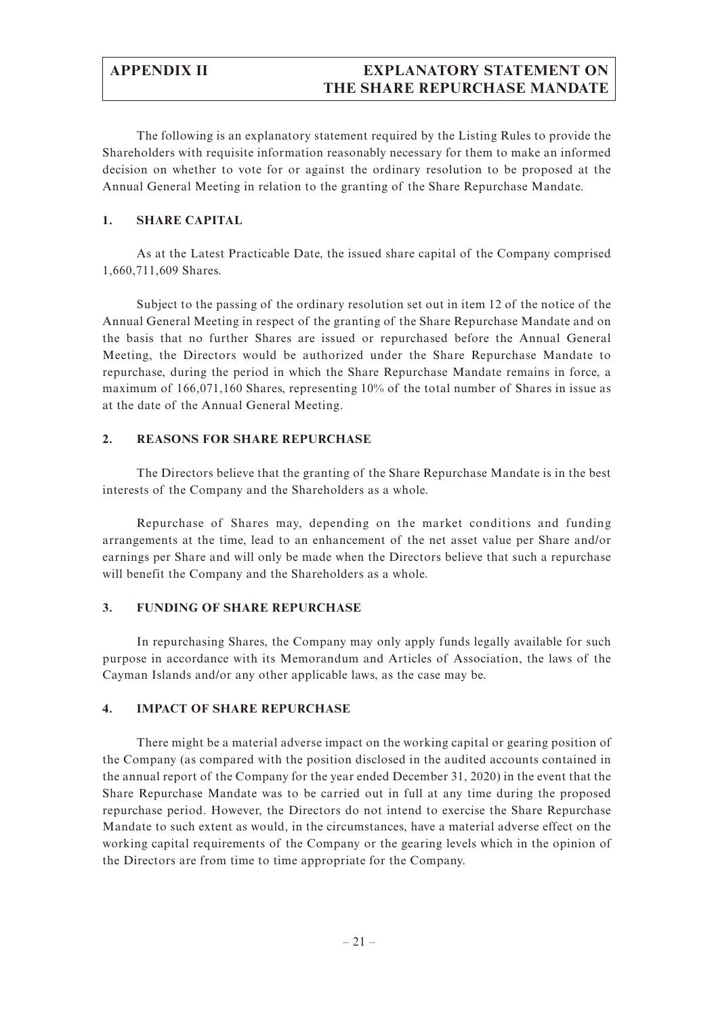# **APPENDIX II EXPLANATORY STATEMENT ON THE SHARE REPURCHASE MANDATE**

The following is an explanatory statement required by the Listing Rules to provide the Shareholders with requisite information reasonably necessary for them to make an informed decision on whether to vote for or against the ordinary resolution to be proposed at the Annual General Meeting in relation to the granting of the Share Repurchase Mandate.

#### **1. SHARE CAPITAL**

As at the Latest Practicable Date, the issued share capital of the Company comprised 1,660,711,609 Shares.

Subject to the passing of the ordinary resolution set out in item 12 of the notice of the Annual General Meeting in respect of the granting of the Share Repurchase Mandate and on the basis that no further Shares are issued or repurchased before the Annual General Meeting, the Directors would be authorized under the Share Repurchase Mandate to repurchase, during the period in which the Share Repurchase Mandate remains in force, a maximum of 166,071,160 Shares, representing 10% of the total number of Shares in issue as at the date of the Annual General Meeting.

#### **2. REASONS FOR SHARE REPURCHASE**

The Directors believe that the granting of the Share Repurchase Mandate is in the best interests of the Company and the Shareholders as a whole.

Repurchase of Shares may, depending on the market conditions and funding arrangements at the time, lead to an enhancement of the net asset value per Share and/or earnings per Share and will only be made when the Directors believe that such a repurchase will benefit the Company and the Shareholders as a whole.

#### **3. FUNDING OF SHARE REPURCHASE**

In repurchasing Shares, the Company may only apply funds legally available for such purpose in accordance with its Memorandum and Articles of Association, the laws of the Cayman Islands and/or any other applicable laws, as the case may be.

#### **4. IMPACT OF SHARE REPURCHASE**

There might be a material adverse impact on the working capital or gearing position of the Company (as compared with the position disclosed in the audited accounts contained in the annual report of the Company for the year ended December 31, 2020) in the event that the Share Repurchase Mandate was to be carried out in full at any time during the proposed repurchase period. However, the Directors do not intend to exercise the Share Repurchase Mandate to such extent as would, in the circumstances, have a material adverse effect on the working capital requirements of the Company or the gearing levels which in the opinion of the Directors are from time to time appropriate for the Company.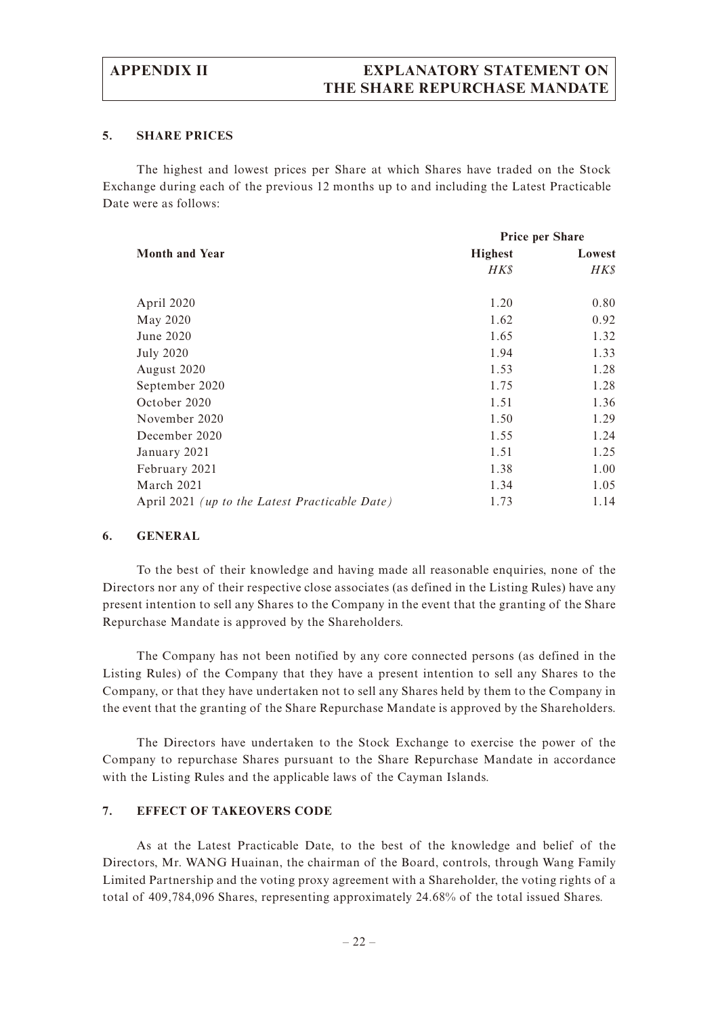## **APPENDIX II EXPLANATORY STATEMENT ON THE SHARE REPURCHASE MANDATE**

#### **5. SHARE PRICES**

The highest and lowest prices per Share at which Shares have traded on the Stock Exchange during each of the previous 12 months up to and including the Latest Practicable Date were as follows:

|                                                       | <b>Price per Share</b> |        |
|-------------------------------------------------------|------------------------|--------|
| <b>Month and Year</b>                                 | <b>Highest</b>         | Lowest |
|                                                       | HK\$                   | HK\$   |
| April 2020                                            | 1.20                   | 0.80   |
| May 2020                                              | 1.62                   | 0.92   |
| June 2020                                             | 1.65                   | 1.32   |
| <b>July 2020</b>                                      | 1.94                   | 1.33   |
| August 2020                                           | 1.53                   | 1.28   |
| September 2020                                        | 1.75                   | 1.28   |
| October 2020                                          | 1.51                   | 1.36   |
| November 2020                                         | 1.50                   | 1.29   |
| December 2020                                         | 1.55                   | 1.24   |
| January 2021                                          | 1.51                   | 1.25   |
| February 2021                                         | 1.38                   | 1.00   |
| March 2021                                            | 1.34                   | 1.05   |
| April 2021 <i>(up to the Latest Practicable Date)</i> | 1.73                   | 1.14   |

#### **6. GENERAL**

To the best of their knowledge and having made all reasonable enquiries, none of the Directors nor any of their respective close associates (as defined in the Listing Rules) have any present intention to sell any Shares to the Company in the event that the granting of the Share Repurchase Mandate is approved by the Shareholders.

The Company has not been notified by any core connected persons (as defined in the Listing Rules) of the Company that they have a present intention to sell any Shares to the Company, or that they have undertaken not to sell any Shares held by them to the Company in the event that the granting of the Share Repurchase Mandate is approved by the Shareholders.

The Directors have undertaken to the Stock Exchange to exercise the power of the Company to repurchase Shares pursuant to the Share Repurchase Mandate in accordance with the Listing Rules and the applicable laws of the Cayman Islands.

#### **7. EFFECT OF TAKEOVERS CODE**

As at the Latest Practicable Date, to the best of the knowledge and belief of the Directors, Mr. WANG Huainan, the chairman of the Board, controls, through Wang Family Limited Partnership and the voting proxy agreement with a Shareholder, the voting rights of a total of 409,784,096 Shares, representing approximately 24.68% of the total issued Shares.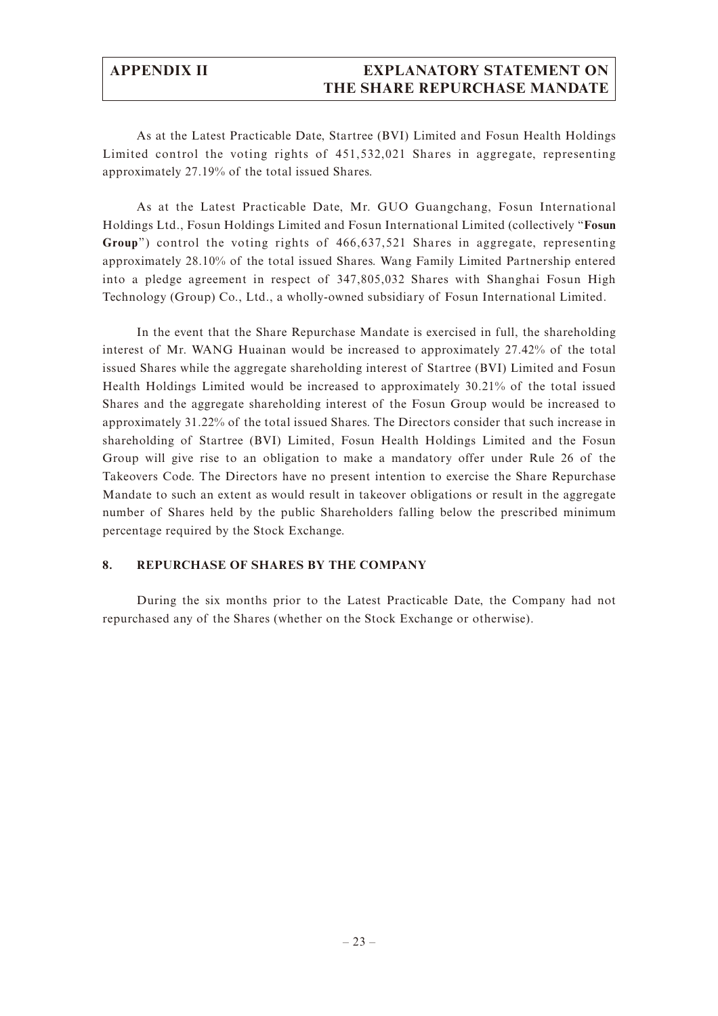## **APPENDIX II EXPLANATORY STATEMENT ON THE SHARE REPURCHASE MANDATE**

As at the Latest Practicable Date, Startree (BVI) Limited and Fosun Health Holdings Limited control the voting rights of 451,532,021 Shares in aggregate, representing approximately 27.19% of the total issued Shares.

As at the Latest Practicable Date, Mr. GUO Guangchang, Fosun International Holdings Ltd., Fosun Holdings Limited and Fosun International Limited (collectively "**Fosun Group**") control the voting rights of 466,637,521 Shares in aggregate, representing approximately 28.10% of the total issued Shares. Wang Family Limited Partnership entered into a pledge agreement in respect of 347,805,032 Shares with Shanghai Fosun High Technology (Group) Co., Ltd., a wholly-owned subsidiary of Fosun International Limited.

In the event that the Share Repurchase Mandate is exercised in full, the shareholding interest of Mr. WANG Huainan would be increased to approximately 27.42% of the total issued Shares while the aggregate shareholding interest of Startree (BVI) Limited and Fosun Health Holdings Limited would be increased to approximately 30.21% of the total issued Shares and the aggregate shareholding interest of the Fosun Group would be increased to approximately 31.22% of the total issued Shares. The Directors consider that such increase in shareholding of Startree (BVI) Limited, Fosun Health Holdings Limited and the Fosun Group will give rise to an obligation to make a mandatory offer under Rule 26 of the Takeovers Code. The Directors have no present intention to exercise the Share Repurchase Mandate to such an extent as would result in takeover obligations or result in the aggregate number of Shares held by the public Shareholders falling below the prescribed minimum percentage required by the Stock Exchange.

#### **8. REPURCHASE OF SHARES BY THE COMPANY**

During the six months prior to the Latest Practicable Date, the Company had not repurchased any of the Shares (whether on the Stock Exchange or otherwise).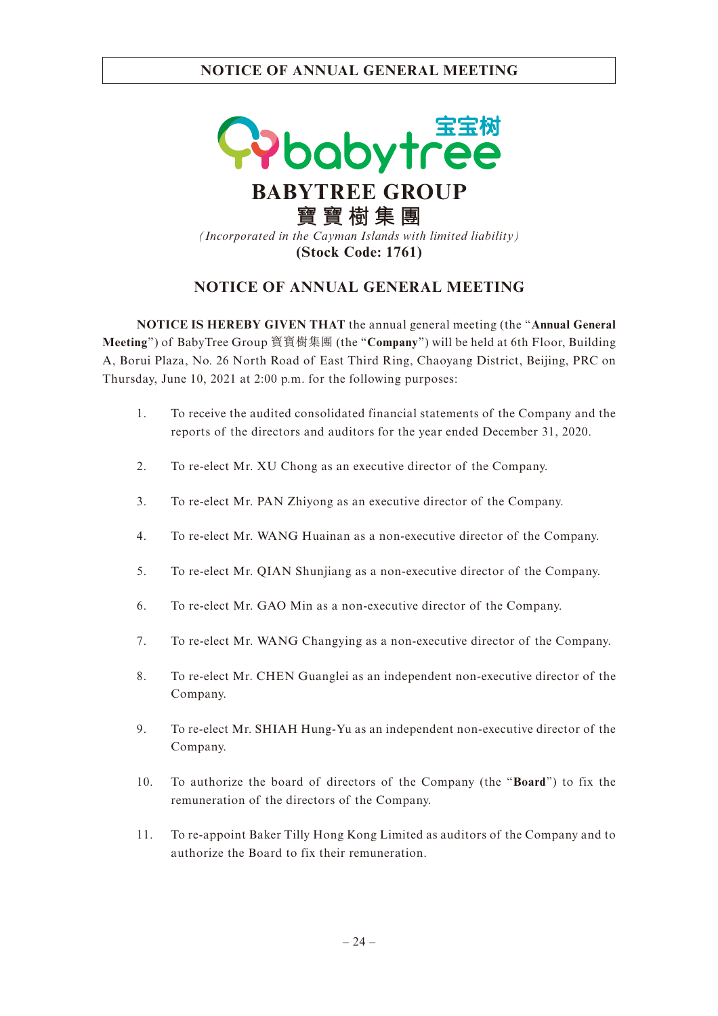

# **NOTICE OF ANNUAL GENERAL MEETING**

**NOTICE IS HEREBY GIVEN THAT** the annual general meeting (the "**Annual General Meeting**") of BabyTree Group 寶寶樹集團 (the "**Company**") will be held at 6th Floor, Building A, Borui Plaza, No. 26 North Road of East Third Ring, Chaoyang District, Beijing, PRC on Thursday, June 10, 2021 at 2:00 p.m. for the following purposes:

- 1. To receive the audited consolidated financial statements of the Company and the reports of the directors and auditors for the year ended December 31, 2020.
- 2. To re-elect Mr. XU Chong as an executive director of the Company.
- 3. To re-elect Mr. PAN Zhiyong as an executive director of the Company.
- 4. To re-elect Mr. WANG Huainan as a non-executive director of the Company.
- 5. To re-elect Mr. QIAN Shunjiang as a non-executive director of the Company.
- 6. To re-elect Mr. GAO Min as a non-executive director of the Company.
- 7. To re-elect Mr. WANG Changying as a non-executive director of the Company.
- 8. To re-elect Mr. CHEN Guanglei as an independent non-executive director of the Company.
- 9. To re-elect Mr. SHIAH Hung-Yu as an independent non-executive director of the Company.
- 10. To authorize the board of directors of the Company (the "**Board**") to fix the remuneration of the directors of the Company.
- 11. To re-appoint Baker Tilly Hong Kong Limited as auditors of the Company and to authorize the Board to fix their remuneration.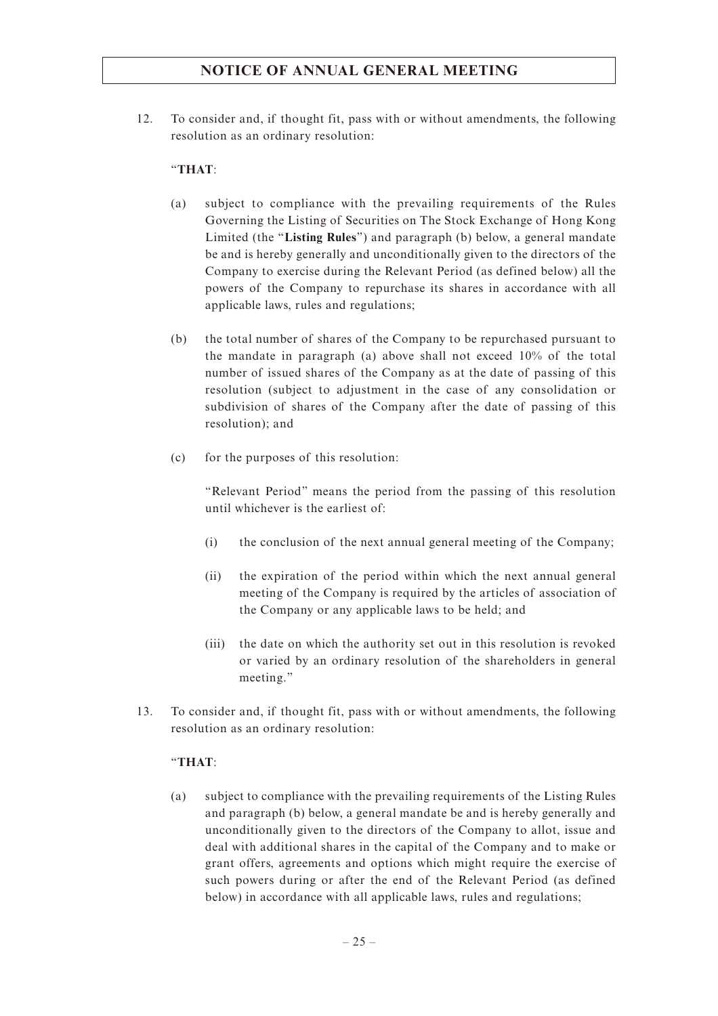12. To consider and, if thought fit, pass with or without amendments, the following resolution as an ordinary resolution:

#### "**THAT**:

- (a) subject to compliance with the prevailing requirements of the Rules Governing the Listing of Securities on The Stock Exchange of Hong Kong Limited (the "**Listing Rules**") and paragraph (b) below, a general mandate be and is hereby generally and unconditionally given to the directors of the Company to exercise during the Relevant Period (as defined below) all the powers of the Company to repurchase its shares in accordance with all applicable laws, rules and regulations;
- (b) the total number of shares of the Company to be repurchased pursuant to the mandate in paragraph (a) above shall not exceed 10% of the total number of issued shares of the Company as at the date of passing of this resolution (subject to adjustment in the case of any consolidation or subdivision of shares of the Company after the date of passing of this resolution); and
- (c) for the purposes of this resolution:

"Relevant Period" means the period from the passing of this resolution until whichever is the earliest of:

- (i) the conclusion of the next annual general meeting of the Company;
- (ii) the expiration of the period within which the next annual general meeting of the Company is required by the articles of association of the Company or any applicable laws to be held; and
- (iii) the date on which the authority set out in this resolution is revoked or varied by an ordinary resolution of the shareholders in general meeting."
- 13. To consider and, if thought fit, pass with or without amendments, the following resolution as an ordinary resolution:

#### "**THAT**:

(a) subject to compliance with the prevailing requirements of the Listing Rules and paragraph (b) below, a general mandate be and is hereby generally and unconditionally given to the directors of the Company to allot, issue and deal with additional shares in the capital of the Company and to make or grant offers, agreements and options which might require the exercise of such powers during or after the end of the Relevant Period (as defined below) in accordance with all applicable laws, rules and regulations;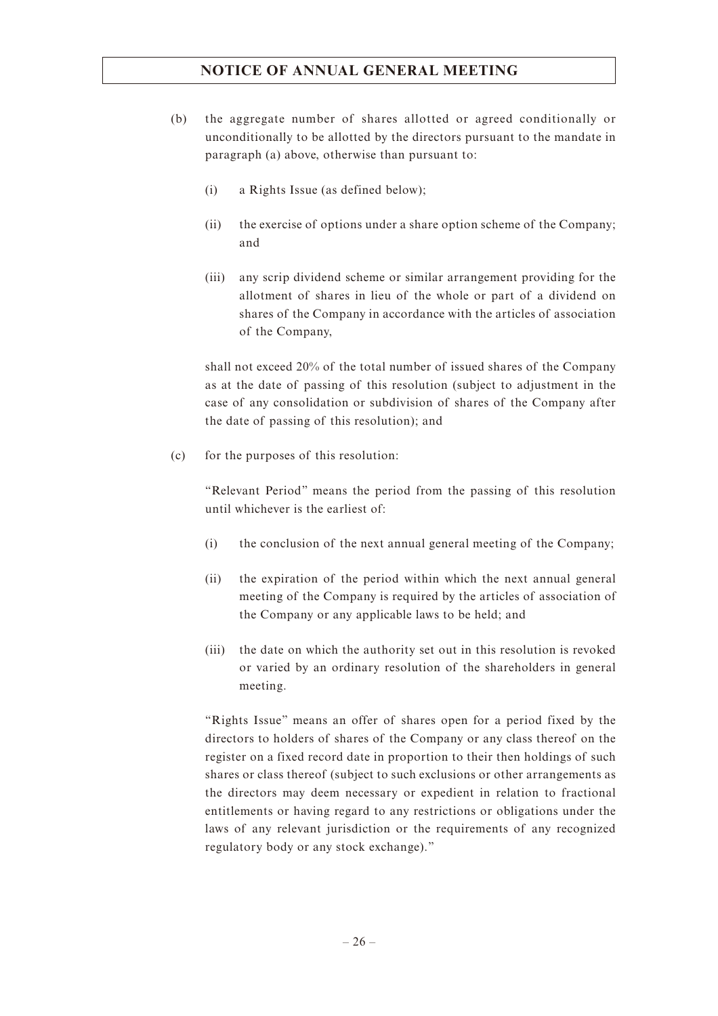- (b) the aggregate number of shares allotted or agreed conditionally or unconditionally to be allotted by the directors pursuant to the mandate in paragraph (a) above, otherwise than pursuant to:
	- (i) a Rights Issue (as defined below);
	- (ii) the exercise of options under a share option scheme of the Company; and
	- (iii) any scrip dividend scheme or similar arrangement providing for the allotment of shares in lieu of the whole or part of a dividend on shares of the Company in accordance with the articles of association of the Company,

shall not exceed 20% of the total number of issued shares of the Company as at the date of passing of this resolution (subject to adjustment in the case of any consolidation or subdivision of shares of the Company after the date of passing of this resolution); and

(c) for the purposes of this resolution:

"Relevant Period" means the period from the passing of this resolution until whichever is the earliest of:

- (i) the conclusion of the next annual general meeting of the Company;
- (ii) the expiration of the period within which the next annual general meeting of the Company is required by the articles of association of the Company or any applicable laws to be held; and
- (iii) the date on which the authority set out in this resolution is revoked or varied by an ordinary resolution of the shareholders in general meeting.

"Rights Issue" means an offer of shares open for a period fixed by the directors to holders of shares of the Company or any class thereof on the register on a fixed record date in proportion to their then holdings of such shares or class thereof (subject to such exclusions or other arrangements as the directors may deem necessary or expedient in relation to fractional entitlements or having regard to any restrictions or obligations under the laws of any relevant jurisdiction or the requirements of any recognized regulatory body or any stock exchange)."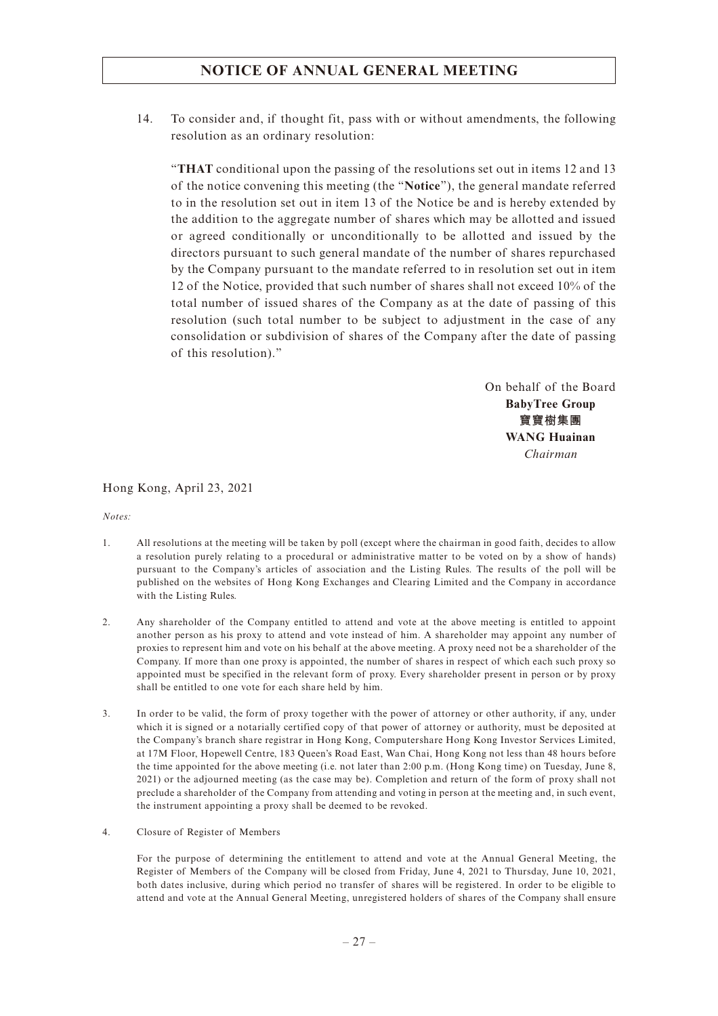14. To consider and, if thought fit, pass with or without amendments, the following resolution as an ordinary resolution:

"**THAT** conditional upon the passing of the resolutions set out in items 12 and 13 of the notice convening this meeting (the "**Notice**"), the general mandate referred to in the resolution set out in item 13 of the Notice be and is hereby extended by the addition to the aggregate number of shares which may be allotted and issued or agreed conditionally or unconditionally to be allotted and issued by the directors pursuant to such general mandate of the number of shares repurchased by the Company pursuant to the mandate referred to in resolution set out in item 12 of the Notice, provided that such number of shares shall not exceed 10% of the total number of issued shares of the Company as at the date of passing of this resolution (such total number to be subject to adjustment in the case of any consolidation or subdivision of shares of the Company after the date of passing of this resolution)."

> On behalf of the Board **BabyTree Group 寶寶樹集團 WANG Huainan** *Chairman*

Hong Kong, April 23, 2021

*Notes:*

- 1. All resolutions at the meeting will be taken by poll (except where the chairman in good faith, decides to allow a resolution purely relating to a procedural or administrative matter to be voted on by a show of hands) pursuant to the Company's articles of association and the Listing Rules. The results of the poll will be published on the websites of Hong Kong Exchanges and Clearing Limited and the Company in accordance with the Listing Rules.
- 2. Any shareholder of the Company entitled to attend and vote at the above meeting is entitled to appoint another person as his proxy to attend and vote instead of him. A shareholder may appoint any number of proxies to represent him and vote on his behalf at the above meeting. A proxy need not be a shareholder of the Company. If more than one proxy is appointed, the number of shares in respect of which each such proxy so appointed must be specified in the relevant form of proxy. Every shareholder present in person or by proxy shall be entitled to one vote for each share held by him.
- 3. In order to be valid, the form of proxy together with the power of attorney or other authority, if any, under which it is signed or a notarially certified copy of that power of attorney or authority, must be deposited at the Company's branch share registrar in Hong Kong, Computershare Hong Kong Investor Services Limited, at 17M Floor, Hopewell Centre, 183 Queen's Road East, Wan Chai, Hong Kong not less than 48 hours before the time appointed for the above meeting (i.e. not later than 2:00 p.m. (Hong Kong time) on Tuesday, June 8, 2021) or the adjourned meeting (as the case may be). Completion and return of the form of proxy shall not preclude a shareholder of the Company from attending and voting in person at the meeting and, in such event, the instrument appointing a proxy shall be deemed to be revoked.
- 4. Closure of Register of Members

For the purpose of determining the entitlement to attend and vote at the Annual General Meeting, the Register of Members of the Company will be closed from Friday, June 4, 2021 to Thursday, June 10, 2021, both dates inclusive, during which period no transfer of shares will be registered. In order to be eligible to attend and vote at the Annual General Meeting, unregistered holders of shares of the Company shall ensure